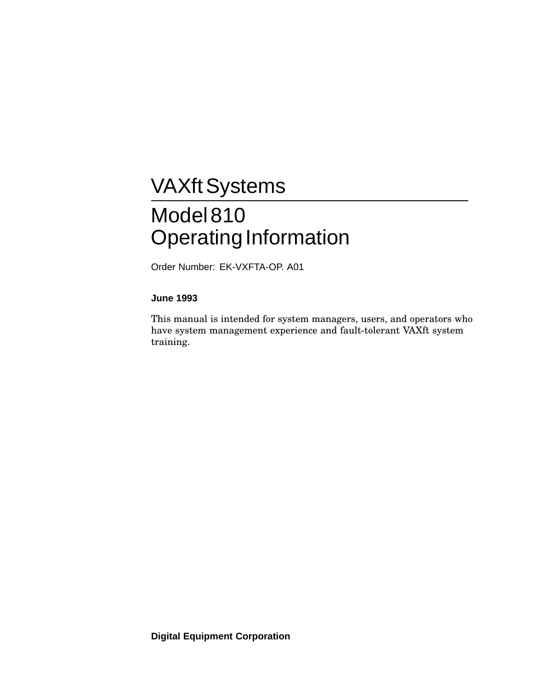# **VAXft Systems** Model 810 Operating Information

Order Number: EK-VXFTA-OP. A01

#### **June 1993**

This manual is intended for system managers, users, and operators who have system management experience and fault-tolerant VAXft system training.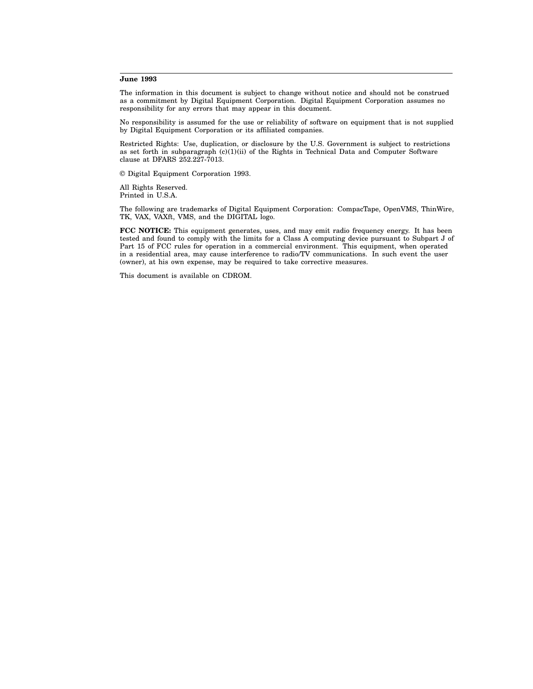#### **June 1993**

The information in this document is subject to change without notice and should not be construed as a commitment by Digital Equipment Corporation. Digital Equipment Corporation assumes no responsibility for any errors that may appear in this document.

No responsibility is assumed for the use or reliability of software on equipment that is not supplied by Digital Equipment Corporation or its affiliated companies.

Restricted Rights: Use, duplication, or disclosure by the U.S. Government is subject to restrictions as set forth in subparagraph  $(c)(1)(ii)$  of the Rights in Technical Data and Computer Software clause at DFARS 252.227-7013.

© Digital Equipment Corporation 1993.

All Rights Reserved. Printed in U.S.A.

The following are trademarks of Digital Equipment Corporation: CompacTape, OpenVMS, ThinWire, TK, VAX, VAXft, VMS, and the DIGITAL logo.

**FCC NOTICE:** This equipment generates, uses, and may emit radio frequency energy. It has been tested and found to comply with the limits for a Class A computing device pursuant to Subpart J of Part 15 of FCC rules for operation in a commercial environment. This equipment, when operated in a residential area, may cause interference to radio/TV communications. In such event the user (owner), at his own expense, may be required to take corrective measures.

This document is available on CDROM.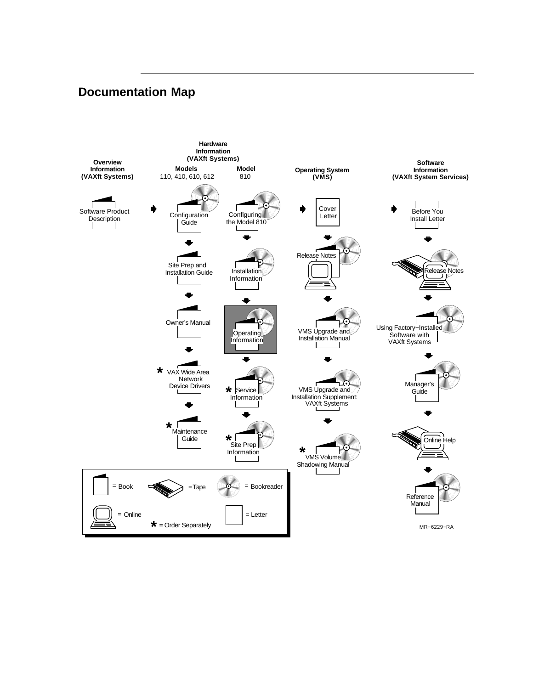# **Documentation Map**

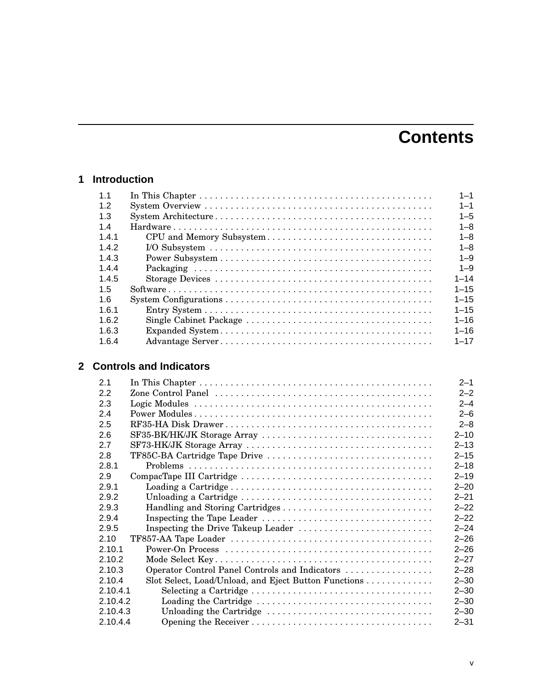# **Contents**

## **1 Introduction**

| 1.1   | $1 - 1$  |
|-------|----------|
| 1.2   | $1 - 1$  |
| 1.3   | $1 - 5$  |
| $14$  | $1 - 8$  |
| 1.4.1 | $1 - 8$  |
| 1.4.2 | $1 - 8$  |
| 1.4.3 | $1 - 9$  |
| 1.4.4 | $1 - 9$  |
| 1.4.5 | $1 - 14$ |
| 1.5   | $1 - 15$ |
| 1.6   | $1 - 15$ |
| 1.6.1 | $1 - 15$ |
| 1.6.2 | $1 - 16$ |
| 1.6.3 | $1 - 16$ |
| 1.6.4 | $1 - 17$ |

# **2 Controls and Indicators**

| 2.1      |                                                      | $2 - 1$  |
|----------|------------------------------------------------------|----------|
| 2.2      |                                                      | $2 - 2$  |
| 2.3      |                                                      | $2 - 4$  |
| 2.4      |                                                      | $2 - 6$  |
| 2.5      |                                                      | $2 - 8$  |
| 2.6      |                                                      | $2 - 10$ |
| 2.7      |                                                      | $2 - 13$ |
| 2.8      |                                                      | $2 - 15$ |
| 281      |                                                      | $2 - 18$ |
| 2.9      |                                                      | $2 - 19$ |
| 2.9.1    |                                                      | $2 - 20$ |
| 2.9.2    |                                                      | $2 - 21$ |
| 2.9.3    |                                                      | $2 - 22$ |
| 2.9.4    |                                                      | $2 - 22$ |
| 2.9.5    |                                                      | $2 - 24$ |
| 210      |                                                      | $2 - 26$ |
| 2,10,1   |                                                      | $2 - 26$ |
| 2.10.2   |                                                      | $2 - 27$ |
| 2.10.3   | Operator Control Panel Controls and Indicators       | $2 - 28$ |
| 2.10.4   | Slot Select, Load/Unload, and Eject Button Functions | $2 - 30$ |
| 2.10.4.1 |                                                      | $2 - 30$ |
| 2.10.4.2 |                                                      | $2 - 30$ |
| 2.10.4.3 | Unloading the Cartridge                              | $2 - 30$ |
| 2.10.4.4 |                                                      | $2 - 31$ |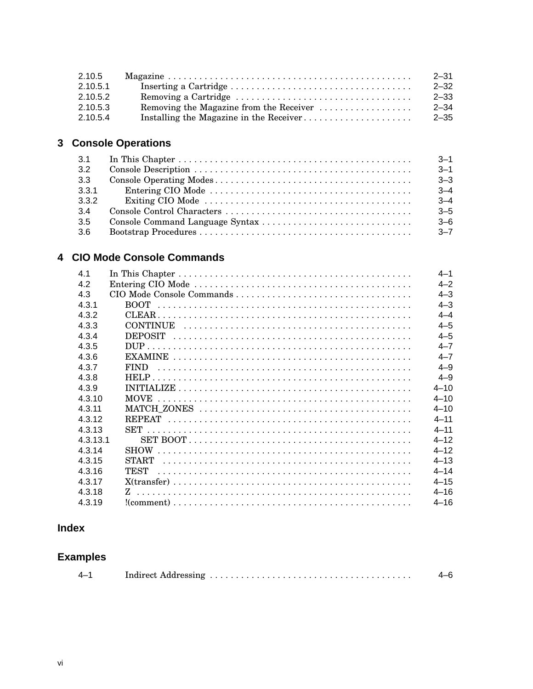| 2.10.5   |                                         | $2 - 31$ |
|----------|-----------------------------------------|----------|
| 2.10.5.1 |                                         | $2 - 32$ |
| 2.10.5.2 |                                         | $2 - 33$ |
| 2.10.5.3 | Removing the Magazine from the Receiver | $2 - 34$ |
| 2.10.5.4 |                                         | $2 - 35$ |

# 3 Console Operations

| 3.1   |                                                                                                        | $-3-1$  |
|-------|--------------------------------------------------------------------------------------------------------|---------|
| 3.2   |                                                                                                        | $3 - 1$ |
| 3.3   |                                                                                                        | $3 - 3$ |
| 3.3.1 |                                                                                                        | $3 - 4$ |
| 3.3.2 | Exiting CIO Mode $\ldots \ldots \ldots \ldots \ldots \ldots \ldots \ldots \ldots \ldots \ldots \ldots$ | $3 - 4$ |
| 3.4   |                                                                                                        | $3 - 5$ |
| 3.5   |                                                                                                        | $-3-6$  |
| 3.6   |                                                                                                        | $3 - 7$ |

# 4 CIO Mode Console Commands

| 4.1      |                                                                                                          | $4 - 1$  |
|----------|----------------------------------------------------------------------------------------------------------|----------|
| 4.2      |                                                                                                          | $4 - 2$  |
| 4.3      |                                                                                                          | $4 - 3$  |
| 4.3.1    | <b>BOOT</b>                                                                                              | $4 - 3$  |
| 4.3.2    |                                                                                                          | $4 - 4$  |
| 4.3.3    |                                                                                                          | $4 - 5$  |
| 4.3.4    |                                                                                                          | $4 - 5$  |
| 4.3.5    |                                                                                                          | $4 - 7$  |
| 4.3.6    |                                                                                                          | $4 - 7$  |
| 4.3.7    |                                                                                                          | $4 - 9$  |
| 4.3.8    |                                                                                                          | $4 - 9$  |
| 4.3.9    |                                                                                                          | $4 - 10$ |
| 4.3.10   |                                                                                                          | $4 - 10$ |
| 4.3.11   |                                                                                                          | $4 - 10$ |
| 4.3.12   |                                                                                                          | $4 - 11$ |
| 4.3.13   |                                                                                                          | $4 - 11$ |
| 4.3.13.1 |                                                                                                          | $4 - 12$ |
| 4.3.14   |                                                                                                          | $4 - 12$ |
| 4.3.15   |                                                                                                          | $4 - 13$ |
| 4.3.16   |                                                                                                          | $4 - 14$ |
| 4.3.17   |                                                                                                          | $4 - 15$ |
| 4.3.18   |                                                                                                          | $4 - 16$ |
| 4.3.19   | $!(\text{comment})\dots\dots\dots\dots\dots\dots\dots\dots\dots\dots\dots\dots\dots\dots\dots\dots\dots$ | $4 - 16$ |

# **Index**

# **Examples**

|--|--|--|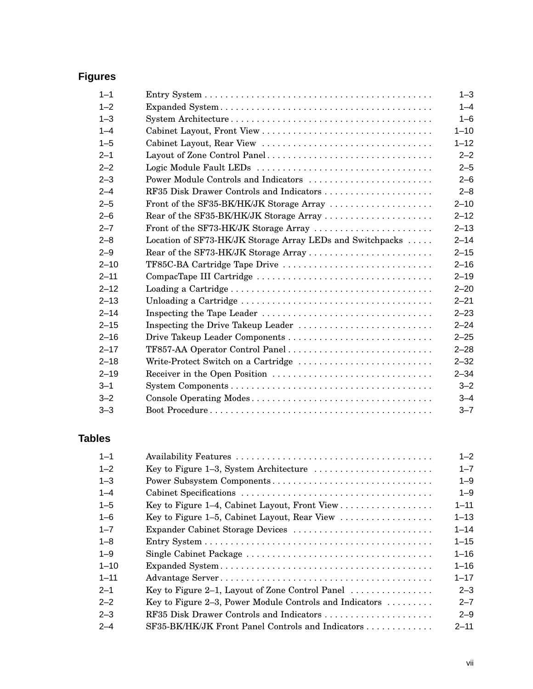# **Figures**

| $1 - 1$  |                                                           | $1 - 3$  |
|----------|-----------------------------------------------------------|----------|
| $1 - 2$  |                                                           | $1 - 4$  |
| $1 - 3$  |                                                           | $1 - 6$  |
| $1 - 4$  |                                                           | $1 - 10$ |
| $1 - 5$  |                                                           | $1 - 12$ |
| $2 - 1$  | Layout of Zone Control Panel                              | $2 - 2$  |
| $2 - 2$  |                                                           | $2 - 5$  |
| $2 - 3$  | Power Module Controls and Indicators                      | $2 - 6$  |
| $2 - 4$  | RF35 Disk Drawer Controls and Indicators                  | $2 - 8$  |
| $2 - 5$  | Front of the SF35-BK/HK/JK Storage Array                  | $2 - 10$ |
| $2 - 6$  | Rear of the SF35-BK/HK/JK Storage Array                   | $2 - 12$ |
| $2 - 7$  | Front of the SF73-HK/JK Storage Array                     | $2 - 13$ |
| $2 - 8$  | Location of SF73-HK/JK Storage Array LEDs and Switchpacks | $2 - 14$ |
| $2 - 9$  |                                                           | $2 - 15$ |
| $2 - 10$ | TF85C-BA Cartridge Tape Drive                             | $2 - 16$ |
| $2 - 11$ |                                                           | $2 - 19$ |
| $2 - 12$ |                                                           | $2 - 20$ |
| $2 - 13$ |                                                           | $2 - 21$ |
| $2 - 14$ |                                                           | $2 - 23$ |
| $2 - 15$ |                                                           | $2 - 24$ |
| $2 - 16$ |                                                           | $2 - 25$ |
| $2 - 17$ |                                                           | $2 - 28$ |
| $2 - 18$ | Write-Protect Switch on a Cartridge                       | $2 - 32$ |
| $2 - 19$ | Receiver in the Open Position                             | $2 - 34$ |
| $3 - 1$  |                                                           | $3 - 2$  |
| $3 - 2$  |                                                           | $3 - 4$  |
| $3 - 3$  |                                                           | $3 - 7$  |

# **Tables**

| $1 - 1$  |                                                                             | $1 - 2$  |
|----------|-----------------------------------------------------------------------------|----------|
| $1 - 2$  |                                                                             | $1 - 7$  |
| $1 - 3$  | Power Subsystem Components                                                  | $1 - 9$  |
| $1 - 4$  |                                                                             | $1 - 9$  |
| $1 - 5$  |                                                                             | $1 - 11$ |
| $1 - 6$  | Key to Figure 1–5, Cabinet Layout, Rear View                                | $1 - 13$ |
| $1 - 7$  | Expander Cabinet Storage Devices                                            | $1 - 14$ |
| $1 - 8$  |                                                                             | $1 - 15$ |
| $1 - 9$  |                                                                             | $1 - 16$ |
| $1 - 10$ |                                                                             | $1 - 16$ |
| $1 - 11$ |                                                                             | $1 - 17$ |
| $2 - 1$  | Key to Figure 2–1, Layout of Zone Control Panel $\dots\dots\dots\dots\dots$ | $2 - 3$  |
| $2 - 2$  | Key to Figure 2–3, Power Module Controls and Indicators $\dots \dots$       | $2 - 7$  |
| $2 - 3$  | RF35 Disk Drawer Controls and Indicators                                    | $2 - 9$  |
| $2 - 4$  | SF35-BK/HK/JK Front Panel Controls and Indicators                           | $2 - 11$ |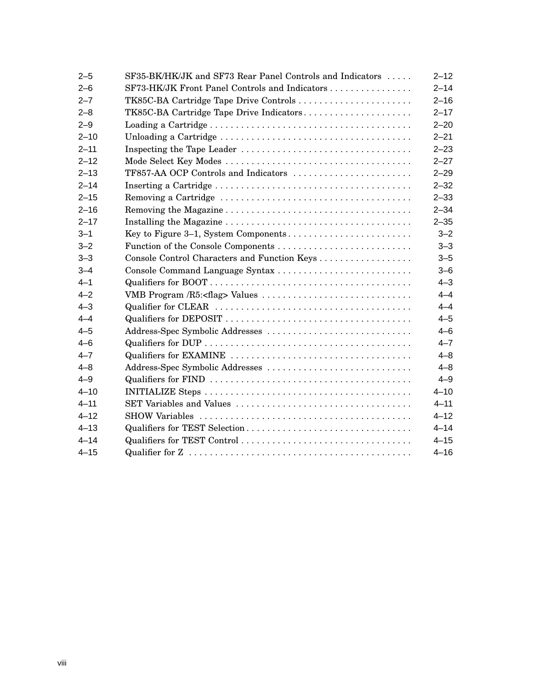| $2 - 5$  | SF35-BK/HK/JK and SF73 Rear Panel Controls and Indicators | $2 - 12$ |
|----------|-----------------------------------------------------------|----------|
| $2 - 6$  | SF73-HK/JK Front Panel Controls and Indicators            | $2 - 14$ |
| $2 - 7$  | TK85C-BA Cartridge Tape Drive Controls                    | $2 - 16$ |
| $2 - 8$  | TK85C-BA Cartridge Tape Drive Indicators                  | $2 - 17$ |
| $2 - 9$  |                                                           | $2 - 20$ |
| $2 - 10$ |                                                           | $2 - 21$ |
| $2 - 11$ |                                                           | $2 - 23$ |
| $2 - 12$ |                                                           | $2 - 27$ |
| $2 - 13$ | TF857-AA OCP Controls and Indicators                      | $2 - 29$ |
| $2 - 14$ |                                                           | $2 - 32$ |
| $2 - 15$ |                                                           | $2 - 33$ |
| $2 - 16$ |                                                           | $2 - 34$ |
| $2 - 17$ |                                                           | $2 - 35$ |
| $3 - 1$  | Key to Figure 3–1, System Components                      | $3 - 2$  |
| $3 - 2$  |                                                           | $3 - 3$  |
| $3 - 3$  | Console Control Characters and Function Keys              | $3 - 5$  |
| $3 - 4$  | Console Command Language Syntax                           | $3 - 6$  |
| $4 - 1$  |                                                           | $4 - 3$  |
| $4 - 2$  |                                                           | $4 - 4$  |
| $4 - 3$  |                                                           | $4 - 4$  |
| $4 - 4$  |                                                           | $4 - 5$  |
| $4 - 5$  | Address-Spec Symbolic Addresses                           | $4 - 6$  |
| $4 - 6$  |                                                           | $4 - 7$  |
| $4 - 7$  |                                                           | $4 - 8$  |
| $4 - 8$  | Address-Spec Symbolic Addresses                           | $4 - 8$  |
| $4 - 9$  |                                                           | $4 - 9$  |
| $4 - 10$ |                                                           | $4 - 10$ |
| $4 - 11$ | SET Variables and Values                                  | $4 - 11$ |
| $4 - 12$ |                                                           | $4 - 12$ |
| $4 - 13$ | Qualifiers for TEST Selection                             | $4 - 14$ |
| $4 - 14$ | Qualifiers for TEST Control                               | $4 - 15$ |
| $4 - 15$ |                                                           | $4 - 16$ |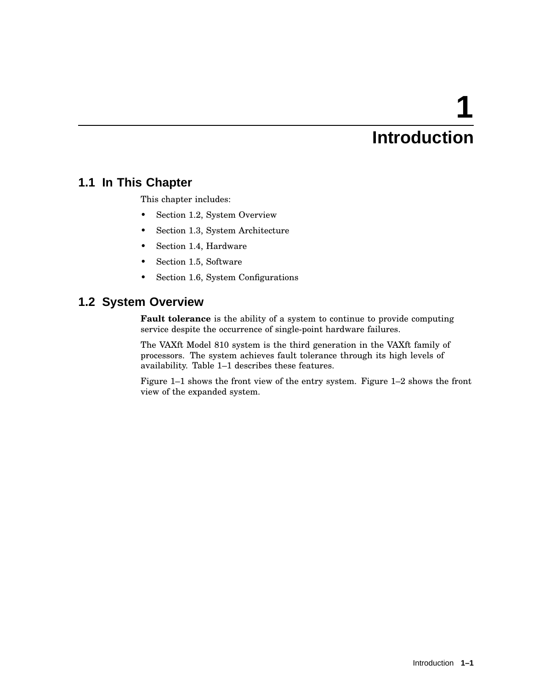# **1 Introduction**

# **1.1 In This Chapter**

This chapter includes:

- Section 1.2, System Overview
- Section 1.3, System Architecture
- Section 1.4, Hardware
- Section 1.5, Software
- Section 1.6, System Configurations

# **1.2 System Overview**

**Fault tolerance** is the ability of a system to continue to provide computing service despite the occurrence of single-point hardware failures.

The VAXft Model 810 system is the third generation in the VAXft family of processors. The system achieves fault tolerance through its high levels of availability. Table 1–1 describes these features.

Figure 1–1 shows the front view of the entry system. Figure 1–2 shows the front view of the expanded system.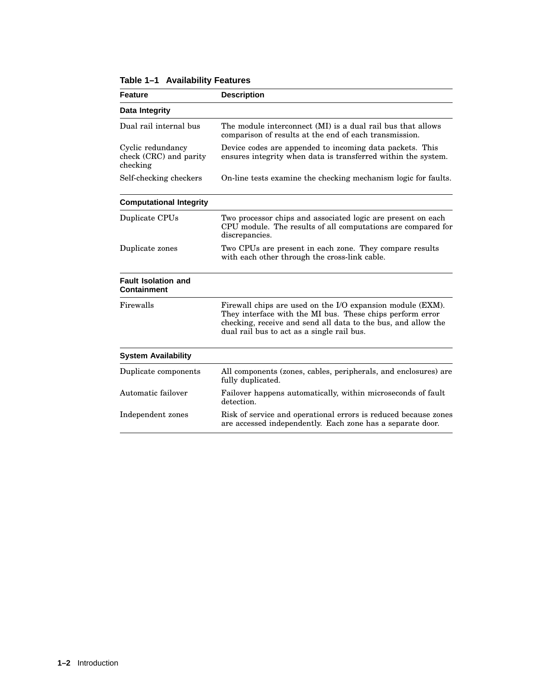| <b>Feature</b>                                          | <b>Description</b>                                                                                                                                                                                                                     |
|---------------------------------------------------------|----------------------------------------------------------------------------------------------------------------------------------------------------------------------------------------------------------------------------------------|
| Data Integrity                                          |                                                                                                                                                                                                                                        |
| Dual rail internal bus                                  | The module interconnect (MI) is a dual rail bus that allows<br>comparison of results at the end of each transmission.                                                                                                                  |
| Cyclic redundancy<br>check (CRC) and parity<br>checking | Device codes are appended to incoming data packets. This<br>ensures integrity when data is transferred within the system.                                                                                                              |
| Self-checking checkers                                  | On-line tests examine the checking mechanism logic for faults.                                                                                                                                                                         |
| <b>Computational Integrity</b>                          |                                                                                                                                                                                                                                        |
| Duplicate CPUs                                          | Two processor chips and associated logic are present on each<br>CPU module. The results of all computations are compared for<br>discrepancies.                                                                                         |
| Duplicate zones                                         | Two CPUs are present in each zone. They compare results<br>with each other through the cross-link cable.                                                                                                                               |
| <b>Fault Isolation and</b><br><b>Containment</b>        |                                                                                                                                                                                                                                        |
| Firewalls                                               | Firewall chips are used on the I/O expansion module (EXM).<br>They interface with the MI bus. These chips perform error<br>checking, receive and send all data to the bus, and allow the<br>dual rail bus to act as a single rail bus. |
| <b>System Availability</b>                              |                                                                                                                                                                                                                                        |
| Duplicate components                                    | All components (zones, cables, peripherals, and enclosures) are<br>fully duplicated.                                                                                                                                                   |
| Automatic failover                                      | Failover happens automatically, within microseconds of fault<br>detection.                                                                                                                                                             |
| Independent zones                                       | Risk of service and operational errors is reduced because zones<br>are accessed independently. Each zone has a separate door.                                                                                                          |

|  | Table 1-1 Availability Features |  |
|--|---------------------------------|--|
|--|---------------------------------|--|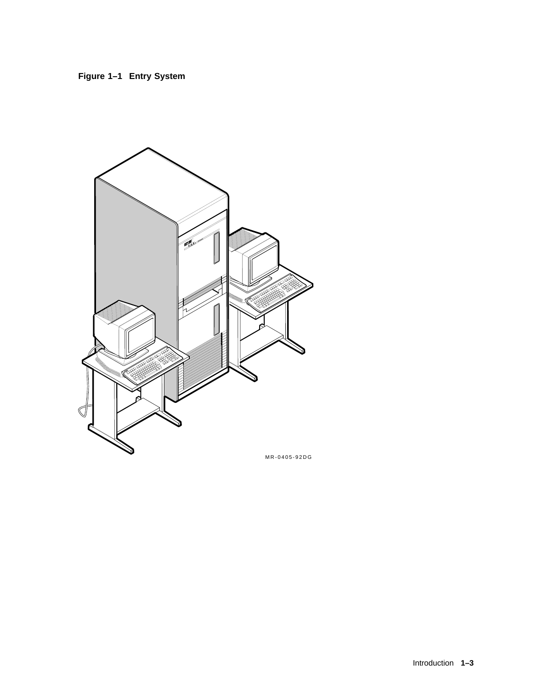



MR-0405-92DG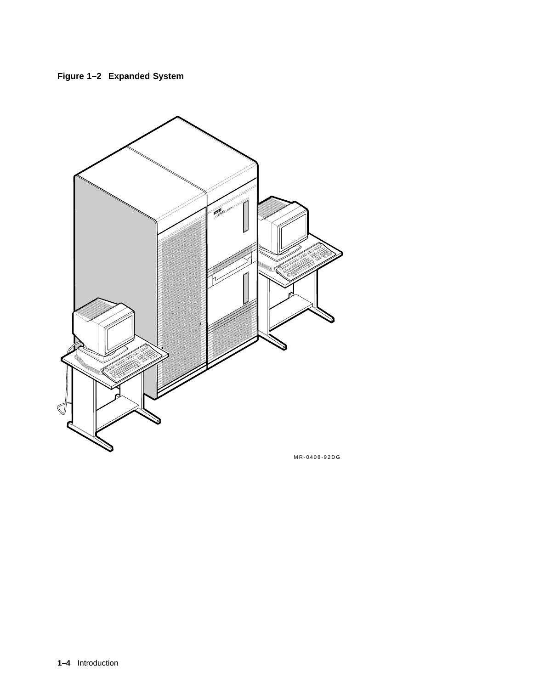



MR-0408-92DG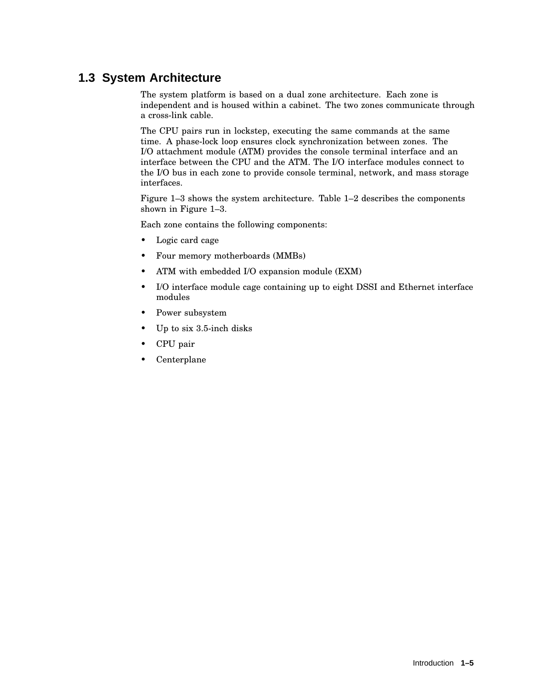# **1.3 System Architecture**

The system platform is based on a dual zone architecture. Each zone is independent and is housed within a cabinet. The two zones communicate through a cross-link cable.

The CPU pairs run in lockstep, executing the same commands at the same time. A phase-lock loop ensures clock synchronization between zones. The I/O attachment module (ATM) provides the console terminal interface and an interface between the CPU and the ATM. The I/O interface modules connect to the I/O bus in each zone to provide console terminal, network, and mass storage interfaces.

Figure 1–3 shows the system architecture. Table 1–2 describes the components shown in Figure 1–3.

Each zone contains the following components:

- Logic card cage
- Four memory motherboards (MMBs)
- ATM with embedded I/O expansion module (EXM)
- I/O interface module cage containing up to eight DSSI and Ethernet interface modules
- Power subsystem
- Up to six 3.5-inch disks
- CPU pair
- Centerplane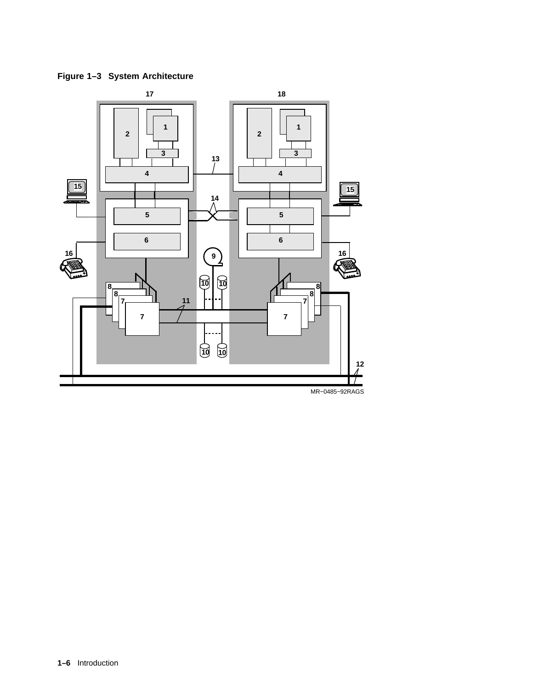

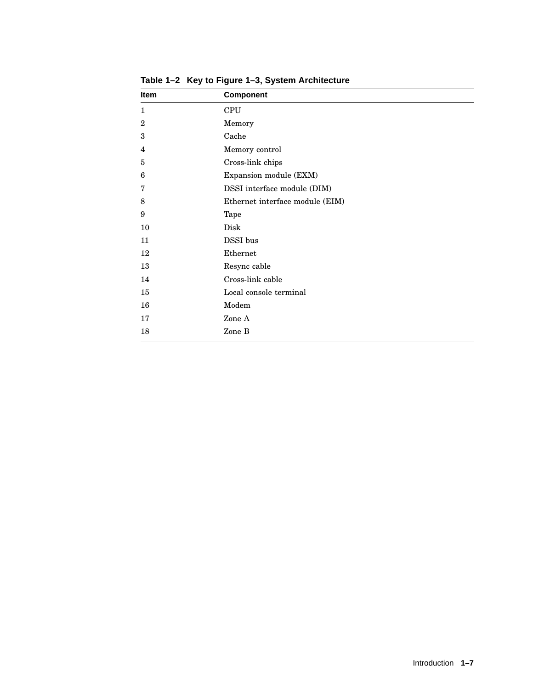| <b>Item</b>  | <b>Component</b>                |
|--------------|---------------------------------|
| $\mathbf{1}$ | <b>CPU</b>                      |
| $\mathbf{2}$ | Memory                          |
| 3            | Cache                           |
| 4            | Memory control                  |
| 5            | Cross-link chips                |
| 6            | Expansion module (EXM)          |
| 7            | DSSI interface module (DIM)     |
| 8            | Ethernet interface module (EIM) |
| 9            | Tape                            |
| 10           | Disk                            |
| 11           | DSSI bus                        |
| 12           | Ethernet                        |
| 13           | Resync cable                    |
| 14           | Cross-link cable                |
| 15           | Local console terminal          |
| 16           | Modem                           |
| 17           | Zone A                          |
| 18           | Zone B                          |

**Table 1–2 Key to Figure 1–3, System Architecture**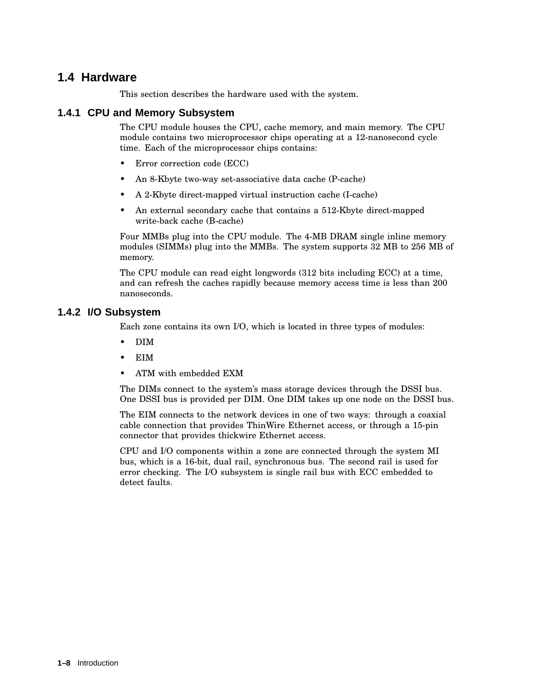### **1.4 Hardware**

This section describes the hardware used with the system.

#### **1.4.1 CPU and Memory Subsystem**

The CPU module houses the CPU, cache memory, and main memory. The CPU module contains two microprocessor chips operating at a 12-nanosecond cycle time. Each of the microprocessor chips contains:

- Error correction code (ECC)
- An 8-Kbyte two-way set-associative data cache (P-cache)
- A 2-Kbyte direct-mapped virtual instruction cache (I-cache)
- An external secondary cache that contains a 512-Kbyte direct-mapped write-back cache (B-cache)

Four MMBs plug into the CPU module. The 4-MB DRAM single inline memory modules (SIMMs) plug into the MMBs. The system supports 32 MB to 256 MB of memory.

The CPU module can read eight longwords (312 bits including ECC) at a time, and can refresh the caches rapidly because memory access time is less than 200 nanoseconds.

#### **1.4.2 I/O Subsystem**

Each zone contains its own I/O, which is located in three types of modules:

- DIM
- EIM
- ATM with embedded EXM

The DIMs connect to the system's mass storage devices through the DSSI bus. One DSSI bus is provided per DIM. One DIM takes up one node on the DSSI bus.

The EIM connects to the network devices in one of two ways: through a coaxial cable connection that provides ThinWire Ethernet access, or through a 15-pin connector that provides thickwire Ethernet access.

CPU and I/O components within a zone are connected through the system MI bus, which is a 16-bit, dual rail, synchronous bus. The second rail is used for error checking. The I/O subsystem is single rail bus with ECC embedded to detect faults.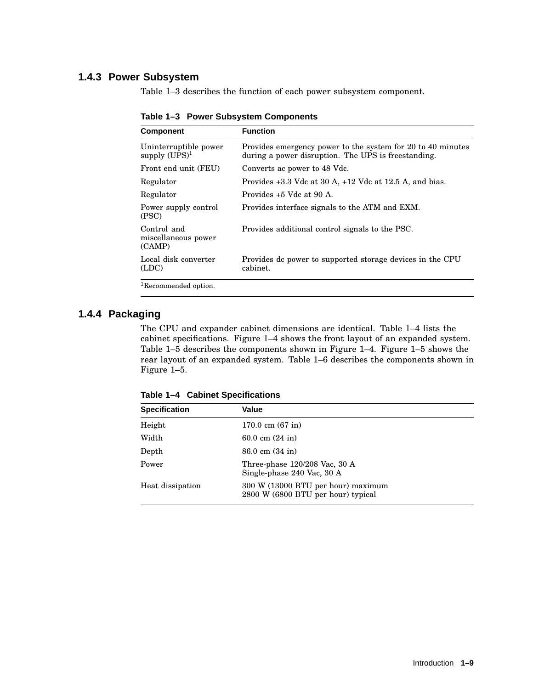#### **1.4.3 Power Subsystem**

Table 1–3 describes the function of each power subsystem component.

| <b>Component</b>                             | <b>Function</b>                                                                                                    |
|----------------------------------------------|--------------------------------------------------------------------------------------------------------------------|
| Uninterruptible power<br>supply $(UPS)^1$    | Provides emergency power to the system for 20 to 40 minutes<br>during a power disruption. The UPS is freestanding. |
| Front end unit (FEU)                         | Converts ac power to 48 Vdc.                                                                                       |
| Regulator                                    | Provides $+3.3$ Vdc at 30 A, $+12$ Vdc at 12.5 A, and bias.                                                        |
| Regulator                                    | Provides +5 Vdc at 90 A.                                                                                           |
| Power supply control<br>(PSC)                | Provides interface signals to the ATM and EXM.                                                                     |
| Control and<br>miscellaneous power<br>(CAMP) | Provides additional control signals to the PSC.                                                                    |
| Local disk converter<br>(LDC)                | Provides dc power to supported storage devices in the CPU<br>cabinet.                                              |
| <sup>1</sup> Recommended option.             |                                                                                                                    |

**Table 1–3 Power Subsystem Components**

#### **1.4.4 Packaging**

The CPU and expander cabinet dimensions are identical. Table 1–4 lists the cabinet specifications. Figure 1–4 shows the front layout of an expanded system. Table 1–5 describes the components shown in Figure 1–4. Figure 1–5 shows the rear layout of an expanded system. Table 1–6 describes the components shown in Figure 1–5.

**Table 1–4 Cabinet Specifications**

| <b>Specification</b> | Value                                                                    |  |
|----------------------|--------------------------------------------------------------------------|--|
| Height               | $170.0 \text{ cm } (67 \text{ in})$                                      |  |
| Width                | 60.0 cm $(24$ in)                                                        |  |
| Depth                | $86.0 \text{ cm}$ $(34 \text{ in})$                                      |  |
| Power                | Three-phase $120/208$ Vac, 30 A<br>Single-phase 240 Vac, 30 A            |  |
| Heat dissipation     | 300 W (13000 BTU per hour) maximum<br>2800 W (6800 BTU per hour) typical |  |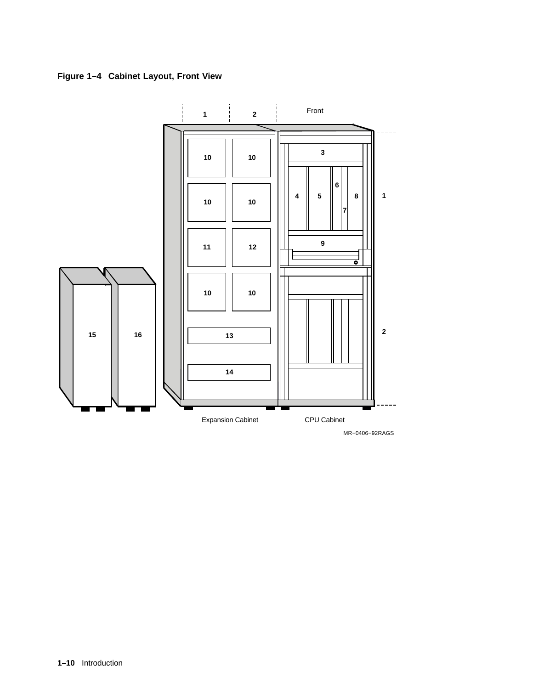**Figure 1–4 Cabinet Layout, Front View**



MR−0406−92RAGS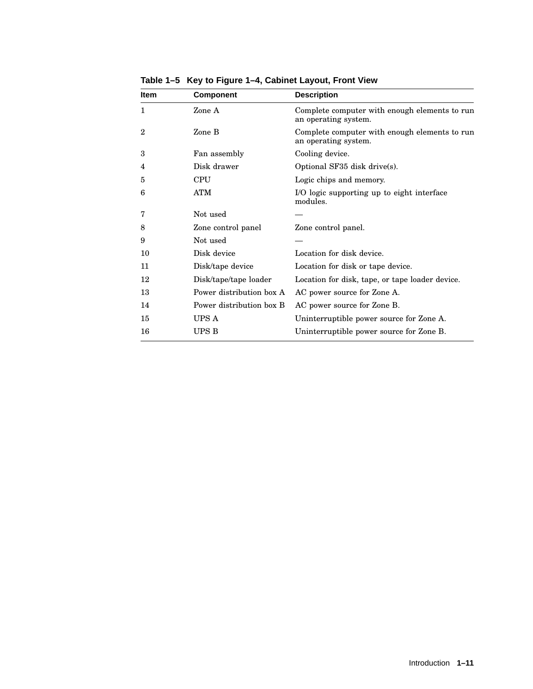| Item         | <b>Component</b>         | <b>Description</b>                                                    |
|--------------|--------------------------|-----------------------------------------------------------------------|
| 1            | Zone A                   | Complete computer with enough elements to run<br>an operating system. |
| $\mathbf{2}$ | Zone B                   | Complete computer with enough elements to run<br>an operating system. |
| 3            | Fan assembly             | Cooling device.                                                       |
| 4            | Disk drawer              | Optional SF35 disk drive(s).                                          |
| 5            | <b>CPU</b>               | Logic chips and memory.                                               |
| 6            | <b>ATM</b>               | I/O logic supporting up to eight interface<br>modules.                |
| 7            | Not used                 |                                                                       |
| 8            | Zone control panel       | Zone control panel.                                                   |
| 9            | Not used                 |                                                                       |
| 10           | Disk device              | Location for disk device.                                             |
| 11           | Disk/tape device         | Location for disk or tape device.                                     |
| 12           | Disk/tape/tape loader    | Location for disk, tape, or tape loader device.                       |
| 13           | Power distribution box A | AC power source for Zone A.                                           |
| 14           | Power distribution box B | AC power source for Zone B.                                           |
| 15           | UPS A                    | Uninterruptible power source for Zone A.                              |
| 16           | <b>UPS B</b>             | Uninterruptible power source for Zone B.                              |

**Table 1–5 Key to Figure 1–4, Cabinet Layout, Front View**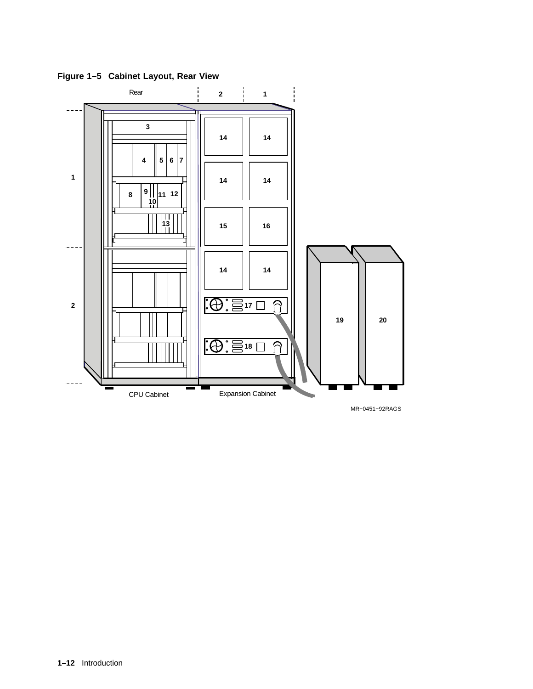

**Figure 1–5 Cabinet Layout, Rear View**

MR−0451−92RAGS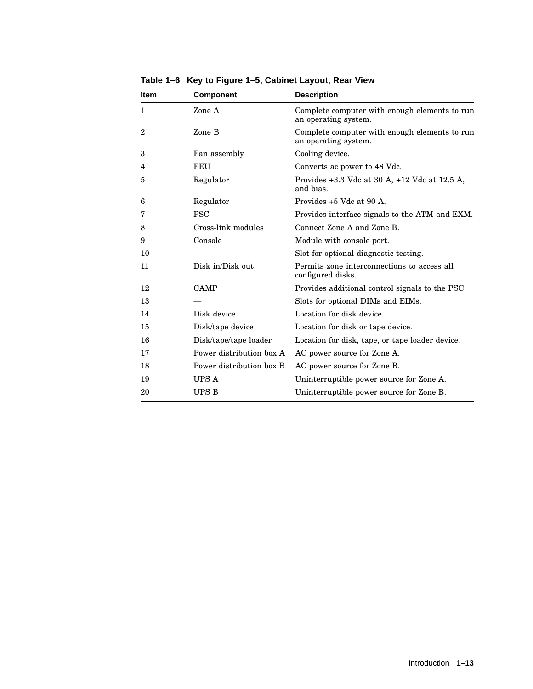| <b>Item</b>    | Component                | <b>Description</b>                                                    |
|----------------|--------------------------|-----------------------------------------------------------------------|
| 1              | Zone A                   | Complete computer with enough elements to run<br>an operating system. |
| $\overline{2}$ | Zone B                   | Complete computer with enough elements to run<br>an operating system. |
| 3              | Fan assembly             | Cooling device.                                                       |
| 4              | FEU                      | Converts ac power to 48 Vdc.                                          |
| 5              | Regulator                | Provides $+3.3$ Vdc at 30 A, $+12$ Vdc at 12.5 A,<br>and bias.        |
| 6              | Regulator                | Provides +5 Vdc at 90 A.                                              |
| 7              | <b>PSC</b>               | Provides interface signals to the ATM and EXM.                        |
| 8              | Cross-link modules       | Connect Zone A and Zone B.                                            |
| 9              | Console                  | Module with console port.                                             |
| 10             |                          | Slot for optional diagnostic testing.                                 |
| 11             | Disk in/Disk out         | Permits zone interconnections to access all<br>configured disks.      |
| 12             | <b>CAMP</b>              | Provides additional control signals to the PSC.                       |
| 13             |                          | Slots for optional DIMs and EIMs.                                     |
| 14             | Disk device              | Location for disk device.                                             |
| 15             | Disk/tape device         | Location for disk or tape device.                                     |
| 16             | Disk/tape/tape loader    | Location for disk, tape, or tape loader device.                       |
| 17             | Power distribution box A | AC power source for Zone A.                                           |
| 18             | Power distribution box B | AC power source for Zone B.                                           |
| 19             | UPS A                    | Uninterruptible power source for Zone A.                              |
| 20             | <b>UPS B</b>             | Uninterruptible power source for Zone B.                              |

**Table 1–6 Key to Figure 1–5, Cabinet Layout, Rear View**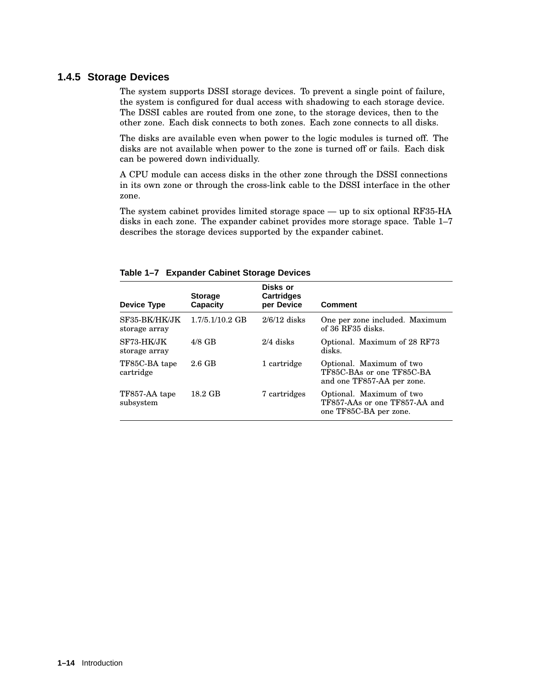#### **1.4.5 Storage Devices**

The system supports DSSI storage devices. To prevent a single point of failure, the system is configured for dual access with shadowing to each storage device. The DSSI cables are routed from one zone, to the storage devices, then to the other zone. Each disk connects to both zones. Each zone connects to all disks.

The disks are available even when power to the logic modules is turned off. The disks are not available when power to the zone is turned off or fails. Each disk can be powered down individually.

A CPU module can access disks in the other zone through the DSSI connections in its own zone or through the cross-link cable to the DSSI interface in the other zone.

The system cabinet provides limited storage space — up to six optional RF35-HA disks in each zone. The expander cabinet provides more storage space. Table 1–7 describes the storage devices supported by the expander cabinet.

| Device Type                    | <b>Storage</b><br>Capacity | Disks or<br><b>Cartridges</b><br>per Device | <b>Comment</b>                                                                      |
|--------------------------------|----------------------------|---------------------------------------------|-------------------------------------------------------------------------------------|
| SF35-BK/HK/JK<br>storage array | $1.7/5.1/10.2$ GB          | $2/6/12$ disks                              | One per zone included. Maximum<br>of 36 RF35 disks.                                 |
| SF73-HK/JK<br>storage array    | $4/8$ GB                   | $2/4$ disks                                 | Optional. Maximum of 28 RF73<br>disks.                                              |
| TF85C-BA tape<br>cartridge     | 2.6 GB                     | 1 cartridge                                 | Optional. Maximum of two<br>TF85C-BAs or one TF85C-BA<br>and one TF857-AA per zone. |
| TF857-AA tape<br>subsystem     | 18.2 GB                    | 7 cartridges                                | Optional. Maximum of two<br>TF857-AAs or one TF857-AA and<br>one TF85C-BA per zone. |

#### **Table 1–7 Expander Cabinet Storage Devices**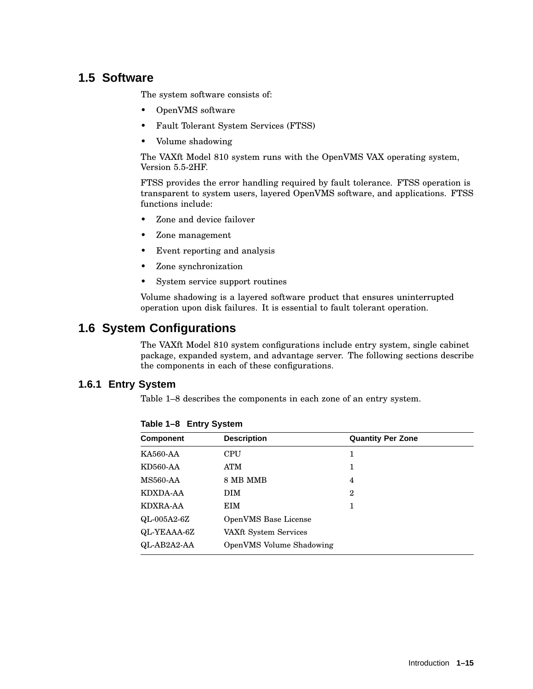# **1.5 Software**

The system software consists of:

- OpenVMS software
- Fault Tolerant System Services (FTSS)
- Volume shadowing

The VAXft Model 810 system runs with the OpenVMS VAX operating system, Version 5.5-2HF.

FTSS provides the error handling required by fault tolerance. FTSS operation is transparent to system users, layered OpenVMS software, and applications. FTSS functions include:

- Zone and device failover
- Zone management
- Event reporting and analysis
- Zone synchronization
- System service support routines

Volume shadowing is a layered software product that ensures uninterrupted operation upon disk failures. It is essential to fault tolerant operation.

# **1.6 System Configurations**

The VAXft Model 810 system configurations include entry system, single cabinet package, expanded system, and advantage server. The following sections describe the components in each of these configurations.

#### **1.6.1 Entry System**

Table 1–8 describes the components in each zone of an entry system.

| <b>Component</b> | <b>Description</b>         | <b>Quantity Per Zone</b> |  |
|------------------|----------------------------|--------------------------|--|
| <b>KA560-AA</b>  | <b>CPU</b>                 | 1                        |  |
| KD560-AA         | ATM                        |                          |  |
| <b>MS560-AA</b>  | 8 MB MMB<br>$\overline{4}$ |                          |  |
| KDXDA-AA         | <b>DIM</b><br>$\mathbf 2$  |                          |  |
| KDXRA-AA         | EIM<br>1                   |                          |  |
| $QL-005A2-6Z$    | OpenVMS Base License       |                          |  |
| QL-YEAAA-6Z      | VAXft System Services      |                          |  |
| QL-AB2A2-AA      | OpenVMS Volume Shadowing   |                          |  |

**Table 1–8 Entry System**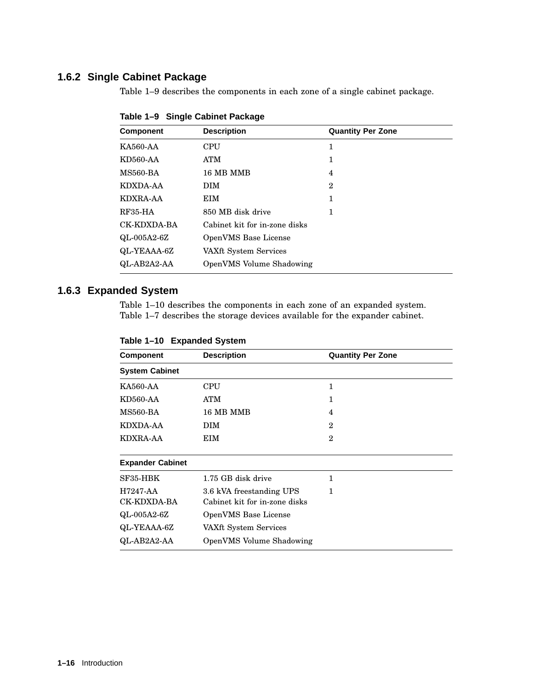#### **1.6.2 Single Cabinet Package**

Table 1–9 describes the components in each zone of a single cabinet package.

| Component   | <b>Description</b>            | <b>Quantity Per Zone</b> |  |
|-------------|-------------------------------|--------------------------|--|
| KA560-AA    | <b>CPU</b>                    | 1                        |  |
| KD560-AA    | <b>ATM</b>                    | 1                        |  |
| MS560-BA    | 16 MB MMB                     | 4                        |  |
| KDXDA-AA    | <b>DIM</b><br>$\mathbf 2$     |                          |  |
| KDXRA-AA    | <b>EIM</b><br>1               |                          |  |
| RF35-HA     | 850 MB disk drive<br>1        |                          |  |
| CK-KDXDA-BA | Cabinet kit for in-zone disks |                          |  |
| QL-005A2-6Z | OpenVMS Base License          |                          |  |
| QL-YEAAA-6Z | VAXft System Services         |                          |  |
| QL-AB2A2-AA | OpenVMS Volume Shadowing      |                          |  |

**Table 1–9 Single Cabinet Package**

### **1.6.3 Expanded System**

Table 1–10 describes the components in each zone of an expanded system. Table 1–7 describes the storage devices available for the expander cabinet.

| Table 1-10 Expanded System |  |  |  |  |
|----------------------------|--|--|--|--|
|----------------------------|--|--|--|--|

| <b>Description</b><br><b>Component</b>  |                                                                | <b>Quantity Per Zone</b> |  |
|-----------------------------------------|----------------------------------------------------------------|--------------------------|--|
| <b>System Cabinet</b>                   |                                                                |                          |  |
| KA560-AA                                | CPU<br>1                                                       |                          |  |
| KD560-AA                                | ATM                                                            | 1                        |  |
| <b>MS560-BA</b>                         | 16 MB MMB                                                      | 4                        |  |
| KDXDA-AA                                | <b>DIM</b>                                                     | $\mathbf{2}$             |  |
| <b>KDXRA-AA</b><br>EIM                  |                                                                | $\overline{2}$           |  |
| <b>Expander Cabinet</b>                 |                                                                |                          |  |
| SF35-HBK<br>1.75 GB disk drive          |                                                                | 1                        |  |
| H7247-AA<br>CK-KDXDA-BA                 | 3.6 kVA freestanding UPS<br>1<br>Cabinet kit for in-zone disks |                          |  |
| $QL-005A2-6Z$                           | OpenVMS Base License                                           |                          |  |
| QL-YEAAA-6Z                             | VAXft System Services                                          |                          |  |
| QL-AB2A2-AA<br>OpenVMS Volume Shadowing |                                                                |                          |  |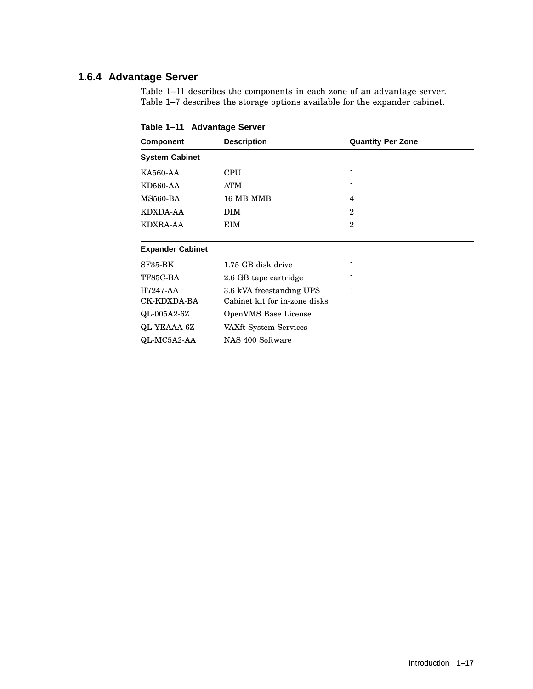#### **1.6.4 Advantage Server**

Table 1–11 describes the components in each zone of an advantage server. Table 1–7 describes the storage options available for the expander cabinet.

| Component                       | <b>Description</b>                                                        | <b>Quantity Per Zone</b> |  |
|---------------------------------|---------------------------------------------------------------------------|--------------------------|--|
| <b>System Cabinet</b>           |                                                                           |                          |  |
| KA560-AA                        | CPU<br>1                                                                  |                          |  |
| KD560-AA                        | ATM                                                                       | 1                        |  |
| MS560-BA                        | 16 MB MMB                                                                 | $\overline{4}$           |  |
| <b>KDXDA-AA</b>                 | <b>DIM</b>                                                                | $\mathbf{2}$             |  |
| KDXRA-AA<br>EIM                 |                                                                           | $\overline{2}$           |  |
| <b>Expander Cabinet</b>         |                                                                           |                          |  |
| SF35-BK                         | 1<br>1.75 GB disk drive                                                   |                          |  |
| TF85C-BA                        | 2.6 GB tape cartridge                                                     | 1                        |  |
| H7247-AA<br>CK-KDXDA-BA         | 3.6 kVA freestanding UPS<br>$\mathbf{1}$<br>Cabinet kit for in-zone disks |                          |  |
| QL-005A2-6Z                     | OpenVMS Base License                                                      |                          |  |
| QL-YEAAA-6Z                     | VAXft System Services                                                     |                          |  |
| QL-MC5A2-AA<br>NAS 400 Software |                                                                           |                          |  |

**Table 1–11 Advantage Server**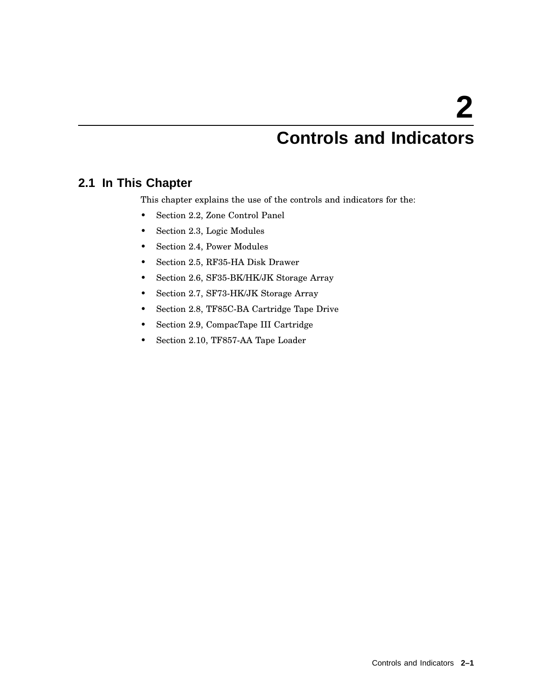# **Controls and Indicators**

# **2.1 In This Chapter**

This chapter explains the use of the controls and indicators for the:

- Section 2.2, Zone Control Panel
- Section 2.3, Logic Modules
- Section 2.4, Power Modules
- Section 2.5, RF35-HA Disk Drawer
- Section 2.6, SF35-BK/HK/JK Storage Array
- Section 2.7, SF73-HK/JK Storage Array
- Section 2.8, TF85C-BA Cartridge Tape Drive
- Section 2.9, CompacTape III Cartridge
- Section 2.10, TF857-AA Tape Loader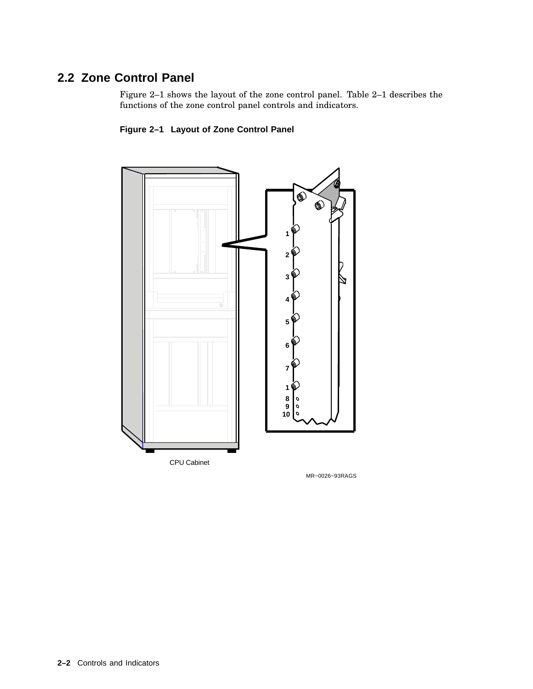# **2.2 Zone Control Panel**

Figure 2–1 shows the layout of the zone control panel. Table 2–1 describes the functions of the zone control panel controls and indicators.





MR−0026−93RAGS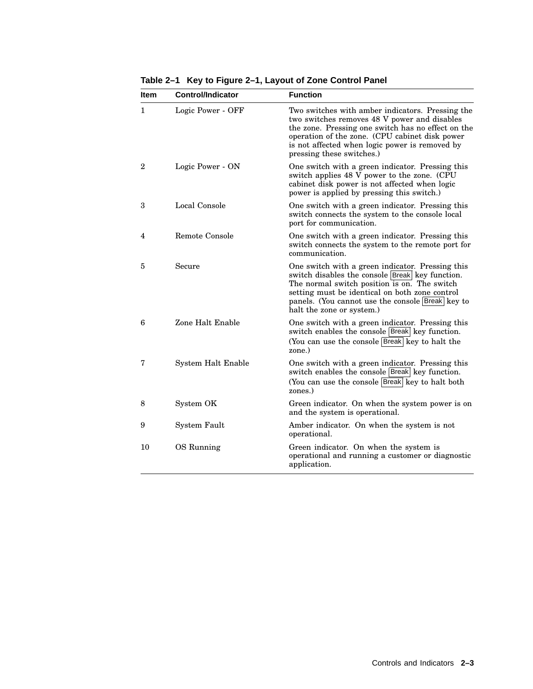| <b>Item</b>    | <b>Control/Indicator</b> | <b>Function</b>                                                                                                                                                                                                                                                                               |  |
|----------------|--------------------------|-----------------------------------------------------------------------------------------------------------------------------------------------------------------------------------------------------------------------------------------------------------------------------------------------|--|
| $\mathbf{1}$   | Logic Power - OFF        | Two switches with amber indicators. Pressing the<br>two switches removes 48 V power and disables<br>the zone. Pressing one switch has no effect on the<br>operation of the zone. (CPU cabinet disk power<br>is not affected when logic power is removed by<br>pressing these switches.)       |  |
| $\overline{2}$ | Logic Power - ON         | One switch with a green indicator. Pressing this<br>switch applies 48 V power to the zone. (CPU<br>cabinet disk power is not affected when logic<br>power is applied by pressing this switch.)                                                                                                |  |
| 3              | Local Console            | One switch with a green indicator. Pressing this<br>switch connects the system to the console local<br>port for communication.                                                                                                                                                                |  |
| 4              | Remote Console           | One switch with a green indicator. Pressing this<br>switch connects the system to the remote port for<br>communication.                                                                                                                                                                       |  |
| 5              | Secure                   | One switch with a green indicator. Pressing this<br>switch disables the console <b>Break</b> key function.<br>The normal switch position is on. The switch<br>setting must be identical on both zone control<br>panels. (You cannot use the console Break key to<br>halt the zone or system.) |  |
| 6              | Zone Halt Enable         | One switch with a green indicator. Pressing this<br>switch enables the console Break key function.<br>(You can use the console Break key to halt the<br>zone.)                                                                                                                                |  |
| 7              | System Halt Enable       | One switch with a green indicator. Pressing this<br>switch enables the console Break key function.<br>(You can use the console Break key to halt both<br>zones.)                                                                                                                              |  |
| 8              | System OK                | Green indicator. On when the system power is on<br>and the system is operational.                                                                                                                                                                                                             |  |
| 9              | System Fault             | Amber indicator. On when the system is not<br>operational.                                                                                                                                                                                                                                    |  |
| 10             | OS Running               | Green indicator. On when the system is<br>operational and running a customer or diagnostic<br>application.                                                                                                                                                                                    |  |

**Table 2–1 Key to Figure 2–1, Layout of Zone Control Panel**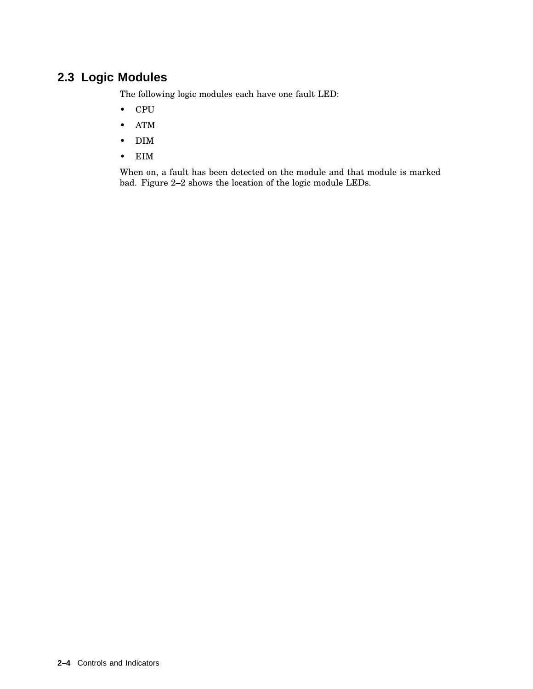# **2.3 Logic Modules**

The following logic modules each have one fault LED:

- CPU
- ATM
- DIM
- EIM

When on, a fault has been detected on the module and that module is marked bad. Figure 2–2 shows the location of the logic module LEDs.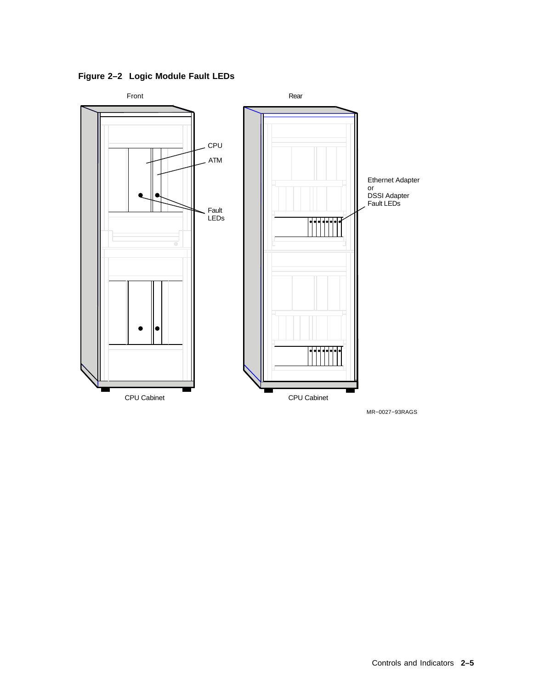**Figure 2–2 Logic Module Fault LEDs**



MR−0027−93RAGS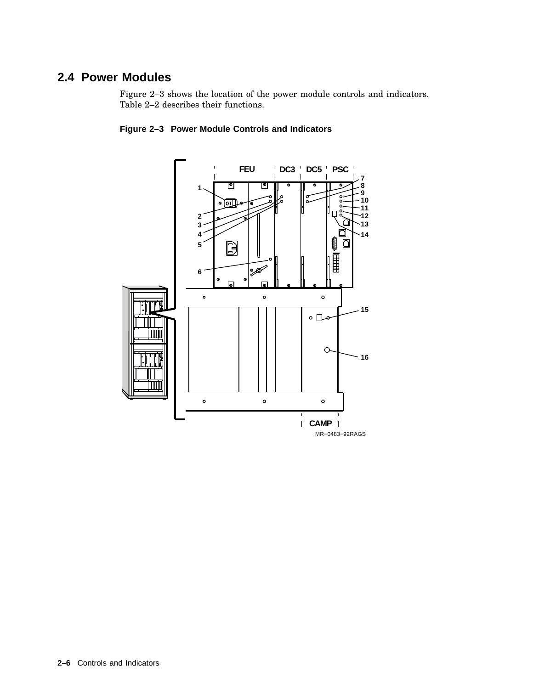# **2.4 Power Modules**

Figure 2–3 shows the location of the power module controls and indicators. Table 2–2 describes their functions.



#### **Figure 2–3 Power Module Controls and Indicators**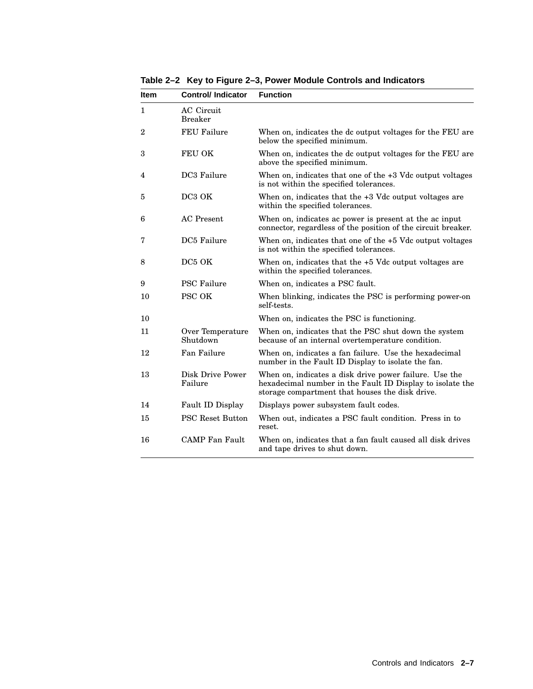**Table 2–2 Key to Figure 2–3, Power Module Controls and Indicators**

| <b>Item</b> | <b>Control/Indicator</b>            | <b>Function</b>                                                                                                                                                        |
|-------------|-------------------------------------|------------------------------------------------------------------------------------------------------------------------------------------------------------------------|
| 1           | <b>AC</b> Circuit<br><b>Breaker</b> |                                                                                                                                                                        |
| 2           | <b>FEU Failure</b>                  | When on, indicates the dc output voltages for the FEU are<br>below the specified minimum.                                                                              |
| 3           | FEU OK                              | When on, indicates the dc output voltages for the FEU are<br>above the specified minimum.                                                                              |
| 4           | DC3 Failure                         | When on, indicates that one of the $+3$ Vdc output voltages<br>is not within the specified tolerances.                                                                 |
| 5           | DC3 OK                              | When on, indicates that the $+3$ Vdc output voltages are<br>within the specified tolerances.                                                                           |
| 6           | AC Present                          | When on, indicates ac power is present at the ac input<br>connector, regardless of the position of the circuit breaker.                                                |
| 7           | DC5 Failure                         | When on, indicates that one of the $+5$ Vdc output voltages<br>is not within the specified tolerances.                                                                 |
| 8           | DC <sub>5</sub> OK                  | When on, indicates that the $+5$ Vdc output voltages are<br>within the specified tolerances.                                                                           |
| 9           | <b>PSC Failure</b>                  | When on, indicates a PSC fault.                                                                                                                                        |
| 10          | <b>PSC OK</b>                       | When blinking, indicates the PSC is performing power-on<br>self-tests.                                                                                                 |
| 10          |                                     | When on, indicates the PSC is functioning.                                                                                                                             |
| 11          | Over Temperature<br>Shutdown        | When on, indicates that the PSC shut down the system<br>because of an internal overtemperature condition.                                                              |
| 12          | Fan Failure                         | When on, indicates a fan failure. Use the hexadecimal<br>number in the Fault ID Display to isolate the fan.                                                            |
| 13          | Disk Drive Power<br>Failure         | When on, indicates a disk drive power failure. Use the<br>hexadecimal number in the Fault ID Display to isolate the<br>storage compartment that houses the disk drive. |
| 14          | Fault ID Display                    | Displays power subsystem fault codes.                                                                                                                                  |
| 15          | <b>PSC Reset Button</b>             | When out, indicates a PSC fault condition. Press in to<br>reset.                                                                                                       |
| 16          | <b>CAMP</b> Fan Fault               | When on, indicates that a fan fault caused all disk drives<br>and tape drives to shut down.                                                                            |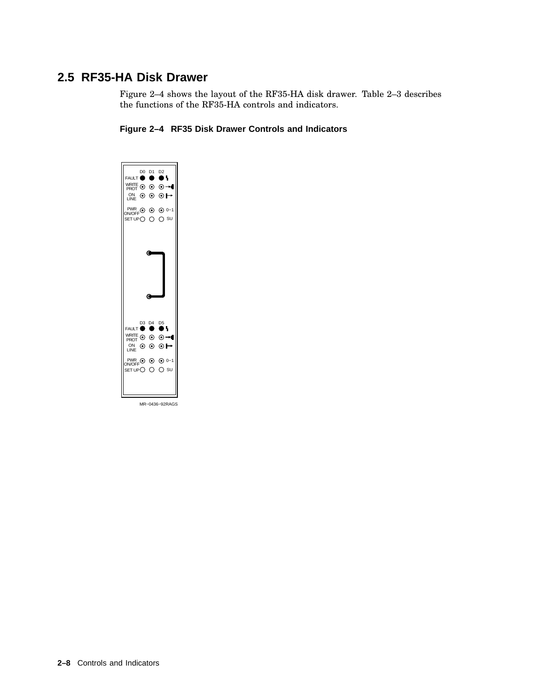# **2.5 RF35-HA Disk Drawer**

Figure 2–4 shows the layout of the RF35-HA disk drawer. Table 2–3 describes the functions of the RF35-HA controls and indicators.

#### **Figure 2–4 RF35 Disk Drawer Controls and Indicators**



MR−0436−92RAGS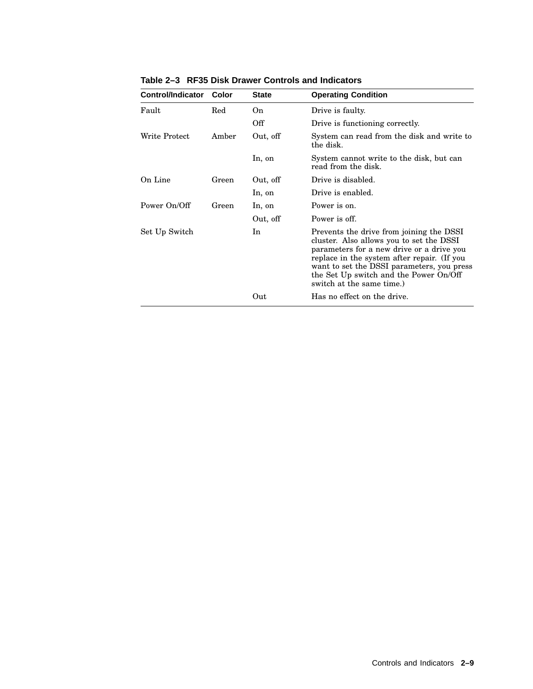| <b>Control/Indicator</b> | Color | <b>State</b> | <b>Operating Condition</b>                                                                                                                                                                                                                                                                            |
|--------------------------|-------|--------------|-------------------------------------------------------------------------------------------------------------------------------------------------------------------------------------------------------------------------------------------------------------------------------------------------------|
| Fault                    | Red   | On.          | Drive is faulty.                                                                                                                                                                                                                                                                                      |
|                          |       | Off          | Drive is functioning correctly.                                                                                                                                                                                                                                                                       |
| Write Protect            | Amber | Out, off     | System can read from the disk and write to<br>the disk.                                                                                                                                                                                                                                               |
|                          |       | In, on       | System cannot write to the disk, but can<br>read from the disk.                                                                                                                                                                                                                                       |
| On Line                  | Green | Out, off     | Drive is disabled.                                                                                                                                                                                                                                                                                    |
|                          |       | In, on       | Drive is enabled.                                                                                                                                                                                                                                                                                     |
| Power On/Off             | Green | In, on       | Power is on.                                                                                                                                                                                                                                                                                          |
|                          |       | Out, off     | Power is off.                                                                                                                                                                                                                                                                                         |
| Set Up Switch            |       | In           | Prevents the drive from joining the DSSI<br>cluster. Also allows you to set the DSSI<br>parameters for a new drive or a drive you<br>replace in the system after repair. (If you<br>want to set the DSSI parameters, you press<br>the Set Up switch and the Power On/Off<br>switch at the same time.) |
|                          |       | Out          | Has no effect on the drive.                                                                                                                                                                                                                                                                           |

**Table 2–3 RF35 Disk Drawer Controls and Indicators**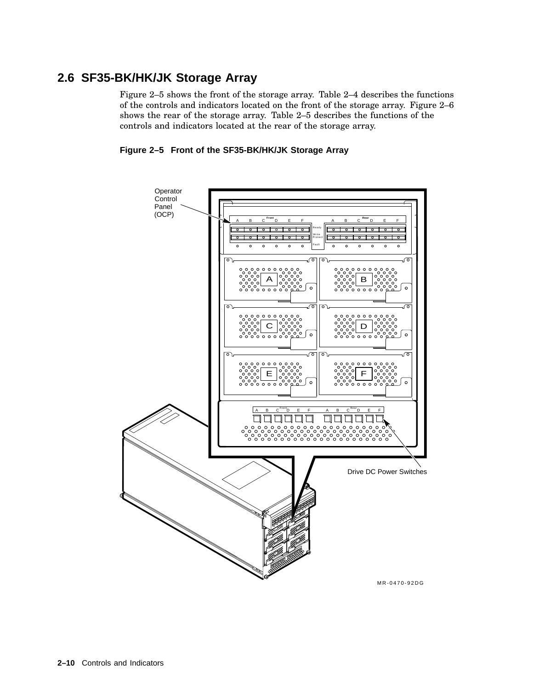# **2.6 SF35-BK/HK/JK Storage Array**

Figure 2–5 shows the front of the storage array. Table 2–4 describes the functions of the controls and indicators located on the front of the storage array. Figure 2–6 shows the rear of the storage array. Table 2–5 describes the functions of the controls and indicators located at the rear of the storage array.



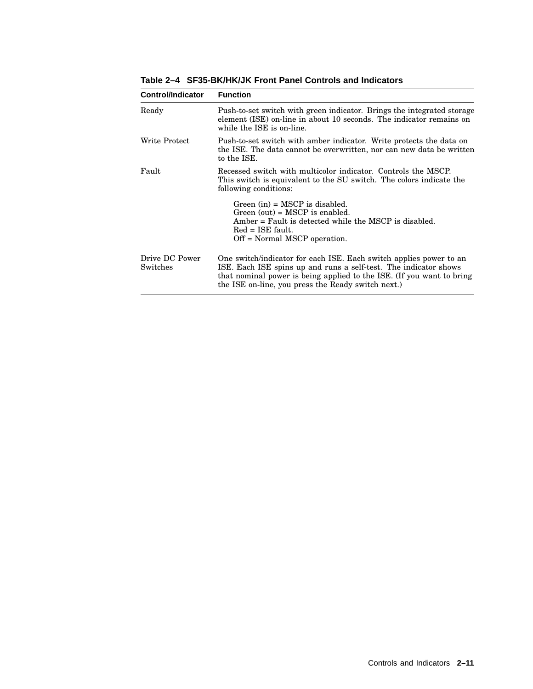**Table 2–4 SF35-BK/HK/JK Front Panel Controls and Indicators**

| Control/Indicator          | <b>Function</b>                                                                                                                                                                                                                                                       |
|----------------------------|-----------------------------------------------------------------------------------------------------------------------------------------------------------------------------------------------------------------------------------------------------------------------|
| Ready                      | Push-to-set switch with green indicator. Brings the integrated storage<br>element (ISE) on-line in about 10 seconds. The indicator remains on<br>while the ISE is on-line.                                                                                            |
| Write Protect              | Push-to-set switch with amber indicator. Write protects the data on<br>the ISE. The data cannot be overwritten, nor can new data be written<br>to the ISE.                                                                                                            |
| Fault                      | Recessed switch with multicolor indicator. Controls the MSCP.<br>This switch is equivalent to the SU switch. The colors indicate the<br>following conditions:                                                                                                         |
|                            | Green $(in) = MSCP$ is disabled.<br>Green $(out)$ = MSCP is enabled.<br>$Amber = Fault$ is detected while the MSCP is disabled.<br>$Red = ISE$ fault.<br>Off = Normal MSCP operation.                                                                                 |
| Drive DC Power<br>Switches | One switch/indicator for each ISE. Each switch applies power to an<br>ISE. Each ISE spins up and runs a self-test. The indicator shows<br>that nominal power is being applied to the ISE. (If you want to bring<br>the ISE on-line, you press the Ready switch next.) |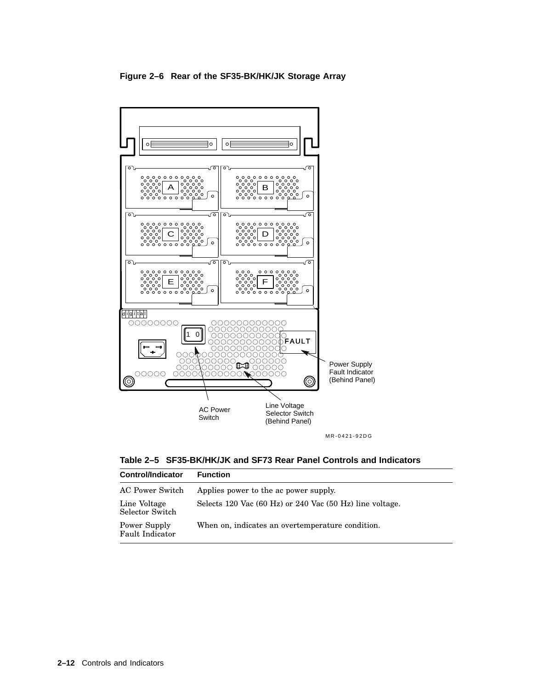



MR-0421-92DG

**Table 2–5 SF35-BK/HK/JK and SF73 Rear Panel Controls and Indicators**

| <b>Function</b>                                          |
|----------------------------------------------------------|
| Applies power to the ac power supply.                    |
| Selects 120 Vac (60 Hz) or 240 Vac (50 Hz) line voltage. |
| When on, indicates an overtemperature condition.         |
|                                                          |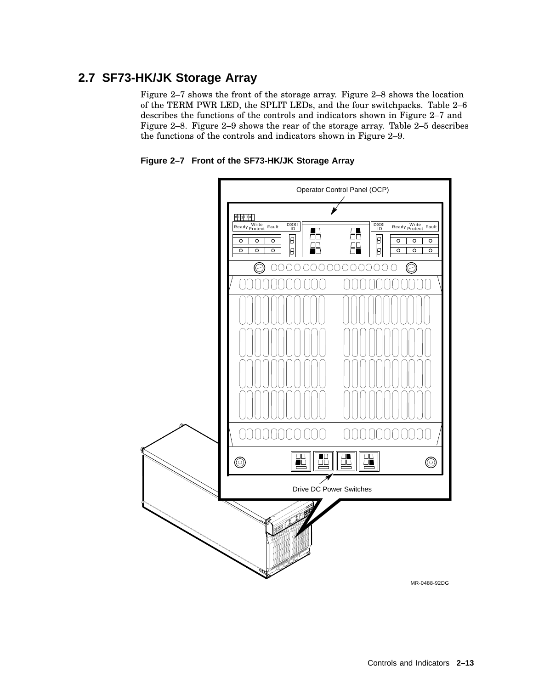# **2.7 SF73-HK/JK Storage Array**

Figure 2–7 shows the front of the storage array. Figure 2–8 shows the location of the TERM PWR LED, the SPLIT LEDs, and the four switchpacks. Table 2–6 describes the functions of the controls and indicators shown in Figure 2–7 and Figure 2–8. Figure 2–9 shows the rear of the storage array. Table 2–5 describes the functions of the controls and indicators shown in Figure 2–9.

**Figure 2–7 Front of the SF73-HK/JK Storage Array**

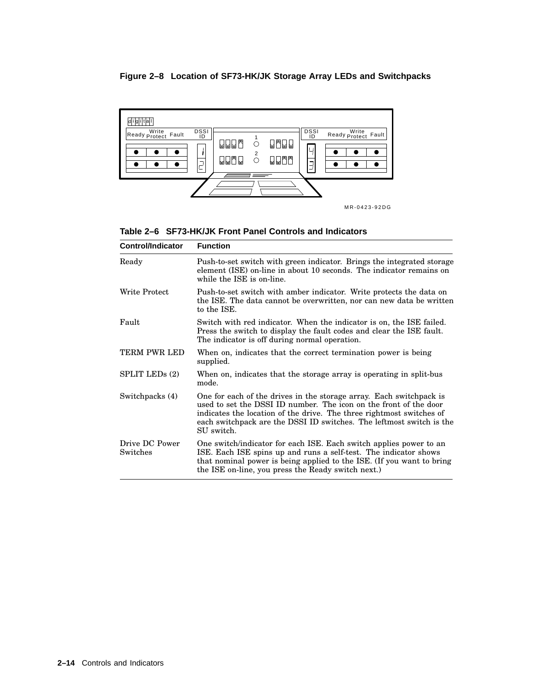#### **Figure 2–8 Location of SF73-HK/JK Storage Array LEDs and Switchpacks**



MR-0423-92DG

|  |  |  |  | Table 2–6 SF73-HK/JK Front Panel Controls and Indicators |
|--|--|--|--|----------------------------------------------------------|
|--|--|--|--|----------------------------------------------------------|

| <b>Control/Indicator</b>   | <b>Function</b>                                                                                                                                                                                                                                                                                        |
|----------------------------|--------------------------------------------------------------------------------------------------------------------------------------------------------------------------------------------------------------------------------------------------------------------------------------------------------|
| Ready                      | Push-to-set switch with green indicator. Brings the integrated storage<br>element (ISE) on-line in about 10 seconds. The indicator remains on<br>while the ISE is on-line.                                                                                                                             |
| Write Protect              | Push-to-set switch with amber indicator. Write protects the data on<br>the ISE. The data cannot be overwritten, nor can new data be written<br>to the ISE.                                                                                                                                             |
| Fault                      | Switch with red indicator. When the indicator is on, the ISE failed.<br>Press the switch to display the fault codes and clear the ISE fault.<br>The indicator is off during normal operation.                                                                                                          |
| TERM PWR LED               | When on, indicates that the correct termination power is being<br>supplied.                                                                                                                                                                                                                            |
| SPLIT LED <sub>s</sub> (2) | When on, indicates that the storage array is operating in split-bus<br>mode.                                                                                                                                                                                                                           |
| Switchpacks (4)            | One for each of the drives in the storage array. Each switchpack is<br>used to set the DSSI ID number. The icon on the front of the door<br>indicates the location of the drive. The three rightmost switches of<br>each switchpack are the DSSI ID switches. The leftmost switch is the<br>SU switch. |
| Drive DC Power<br>Switches | One switch/indicator for each ISE. Each switch applies power to an<br>ISE. Each ISE spins up and runs a self-test. The indicator shows<br>that nominal power is being applied to the ISE. (If you want to bring<br>the ISE on-line, you press the Ready switch next.)                                  |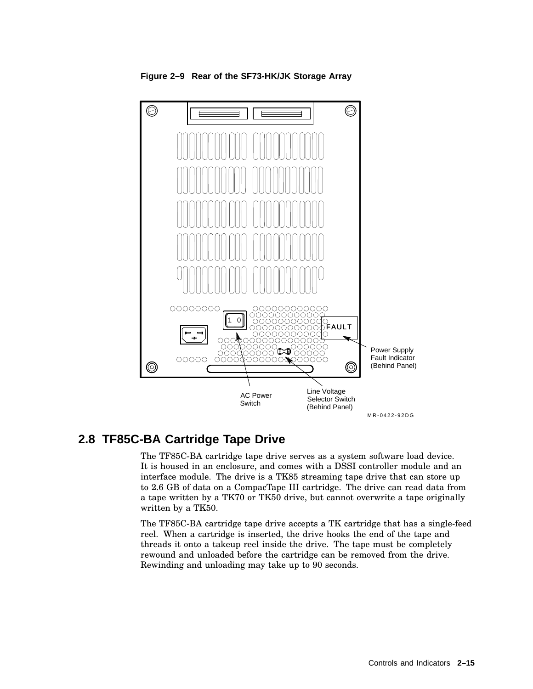

**Figure 2–9 Rear of the SF73-HK/JK Storage Array**

# **2.8 TF85C-BA Cartridge Tape Drive**

The TF85C-BA cartridge tape drive serves as a system software load device. It is housed in an enclosure, and comes with a DSSI controller module and an interface module. The drive is a TK85 streaming tape drive that can store up to 2.6 GB of data on a CompacTape III cartridge. The drive can read data from a tape written by a TK70 or TK50 drive, but cannot overwrite a tape originally written by a TK50.

The TF85C-BA cartridge tape drive accepts a TK cartridge that has a single-feed reel. When a cartridge is inserted, the drive hooks the end of the tape and threads it onto a takeup reel inside the drive. The tape must be completely rewound and unloaded before the cartridge can be removed from the drive. Rewinding and unloading may take up to 90 seconds.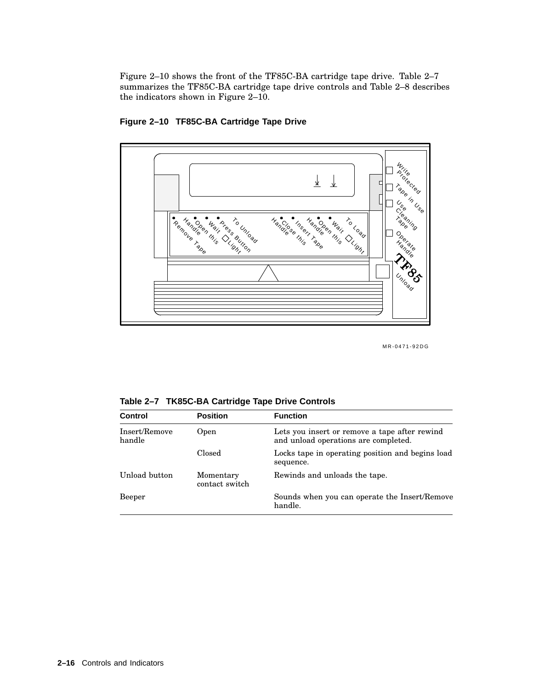Figure 2–10 shows the front of the TF85C-BA cartridge tape drive. Table 2–7 summarizes the TF85C-BA cartridge tape drive controls and Table 2–8 describes the indicators shown in Figure 2–10.



**Figure 2–10 TF85C-BA Cartridge Tape Drive**

MR-0471-92DG

**Table 2–7 TK85C-BA Cartridge Tape Drive Controls**

| <b>Control</b>          | <b>Position</b>             | <b>Function</b>                                                                       |
|-------------------------|-----------------------------|---------------------------------------------------------------------------------------|
| Insert/Remove<br>handle | Open                        | Lets you insert or remove a tape after rewind<br>and unload operations are completed. |
|                         | Closed                      | Locks tape in operating position and begins load<br>sequence.                         |
| Unload button           | Momentary<br>contact switch | Rewinds and unloads the tape.                                                         |
| Beeper                  |                             | Sounds when you can operate the Insert/Remove<br>handle.                              |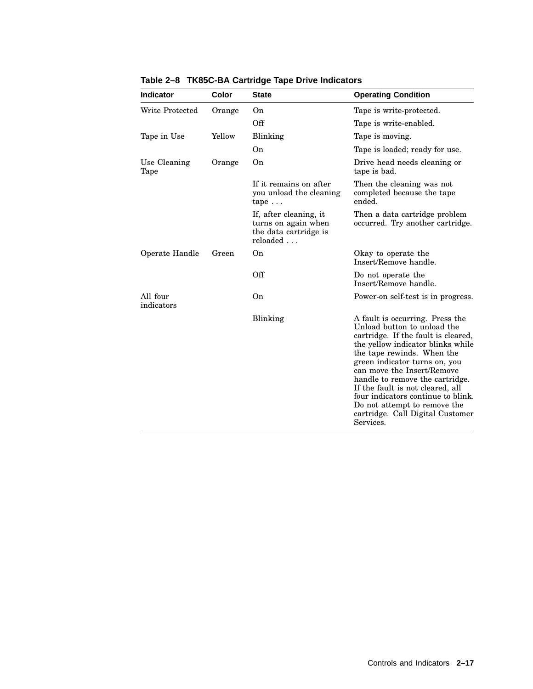| <b>Indicator</b>       | Color  | <b>State</b>                                                                       | <b>Operating Condition</b>                                                                                                                                                                                                                                                                                                                                                                                                            |
|------------------------|--------|------------------------------------------------------------------------------------|---------------------------------------------------------------------------------------------------------------------------------------------------------------------------------------------------------------------------------------------------------------------------------------------------------------------------------------------------------------------------------------------------------------------------------------|
| Write Protected        | Orange | On                                                                                 | Tape is write-protected.                                                                                                                                                                                                                                                                                                                                                                                                              |
|                        |        | Off                                                                                | Tape is write-enabled.                                                                                                                                                                                                                                                                                                                                                                                                                |
| Tape in Use            | Yellow | Blinking                                                                           | Tape is moving.                                                                                                                                                                                                                                                                                                                                                                                                                       |
|                        |        | On                                                                                 | Tape is loaded; ready for use.                                                                                                                                                                                                                                                                                                                                                                                                        |
| Use Cleaning<br>Tape   | Orange | On                                                                                 | Drive head needs cleaning or<br>tape is bad.                                                                                                                                                                                                                                                                                                                                                                                          |
|                        |        | If it remains on after<br>you unload the cleaning<br>$\text{tape} \dots$           | Then the cleaning was not<br>completed because the tape<br>ended.                                                                                                                                                                                                                                                                                                                                                                     |
|                        |        | If, after cleaning, it<br>turns on again when<br>the data cartridge is<br>reloaded | Then a data cartridge problem<br>occurred. Try another cartridge.                                                                                                                                                                                                                                                                                                                                                                     |
| Operate Handle         | Green  | On                                                                                 | Okay to operate the<br>Insert/Remove handle.                                                                                                                                                                                                                                                                                                                                                                                          |
|                        |        | Off                                                                                | Do not operate the<br>Insert/Remove handle.                                                                                                                                                                                                                                                                                                                                                                                           |
| All four<br>indicators |        | 0 <sub>n</sub>                                                                     | Power-on self-test is in progress.                                                                                                                                                                                                                                                                                                                                                                                                    |
|                        |        | Blinking                                                                           | A fault is occurring. Press the<br>Unload button to unload the<br>cartridge. If the fault is cleared,<br>the yellow indicator blinks while<br>the tape rewinds. When the<br>green indicator turns on, you<br>can move the Insert/Remove<br>handle to remove the cartridge.<br>If the fault is not cleared, all<br>four indicators continue to blink.<br>Do not attempt to remove the<br>cartridge. Call Digital Customer<br>Services. |

**Table 2–8 TK85C-BA Cartridge Tape Drive Indicators**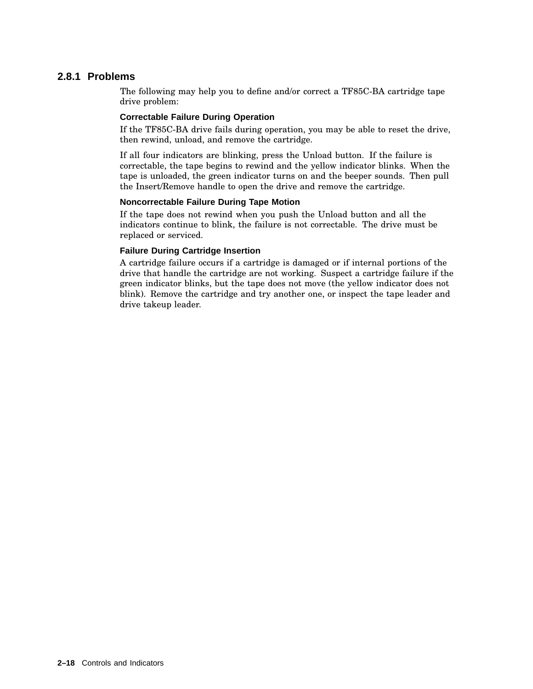### **2.8.1 Problems**

The following may help you to define and/or correct a TF85C-BA cartridge tape drive problem:

#### **Correctable Failure During Operation**

If the TF85C-BA drive fails during operation, you may be able to reset the drive, then rewind, unload, and remove the cartridge.

If all four indicators are blinking, press the Unload button. If the failure is correctable, the tape begins to rewind and the yellow indicator blinks. When the tape is unloaded, the green indicator turns on and the beeper sounds. Then pull the Insert/Remove handle to open the drive and remove the cartridge.

#### **Noncorrectable Failure During Tape Motion**

If the tape does not rewind when you push the Unload button and all the indicators continue to blink, the failure is not correctable. The drive must be replaced or serviced.

#### **Failure During Cartridge Insertion**

A cartridge failure occurs if a cartridge is damaged or if internal portions of the drive that handle the cartridge are not working. Suspect a cartridge failure if the green indicator blinks, but the tape does not move (the yellow indicator does not blink). Remove the cartridge and try another one, or inspect the tape leader and drive takeup leader.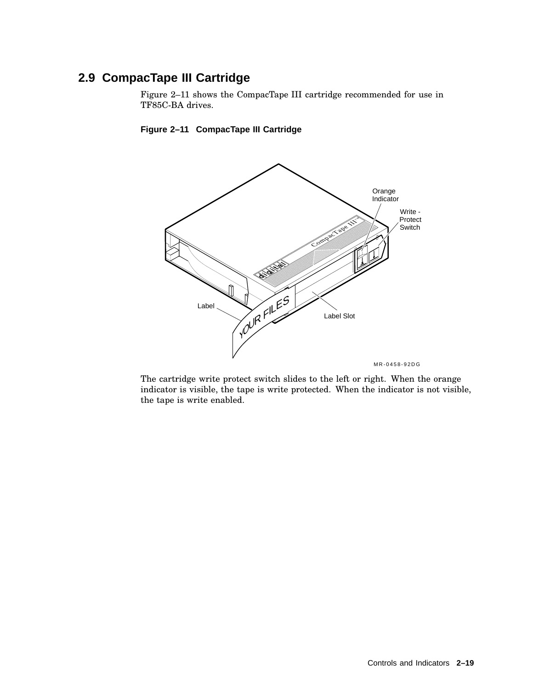# **2.9 CompacTape III Cartridge**

Figure 2–11 shows the CompacTape III cartridge recommended for use in TF85C-BA drives.



#### **Figure 2–11 CompacTape III Cartridge**

The cartridge write protect switch slides to the left or right. When the orange indicator is visible, the tape is write protected. When the indicator is not visible, the tape is write enabled.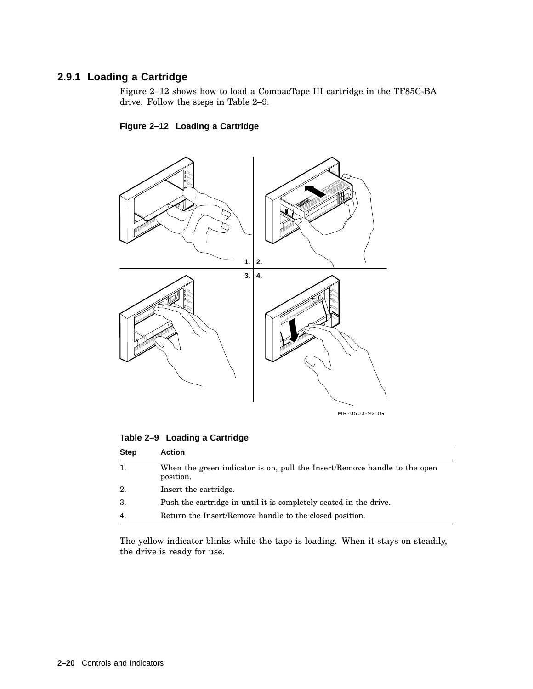### **2.9.1 Loading a Cartridge**

Figure 2–12 shows how to load a CompacTape III cartridge in the TF85C-BA drive. Follow the steps in Table 2–9.





**Table 2–9 Loading a Cartridge**

| <b>Step</b> | <b>Action</b>                                                                          |
|-------------|----------------------------------------------------------------------------------------|
| 1.          | When the green indicator is on, pull the Insert/Remove handle to the open<br>position. |
| 2.          | Insert the cartridge.                                                                  |
| 3.          | Push the cartridge in until it is completely seated in the drive.                      |
| 4.          | Return the Insert/Remove handle to the closed position.                                |

The yellow indicator blinks while the tape is loading. When it stays on steadily, the drive is ready for use.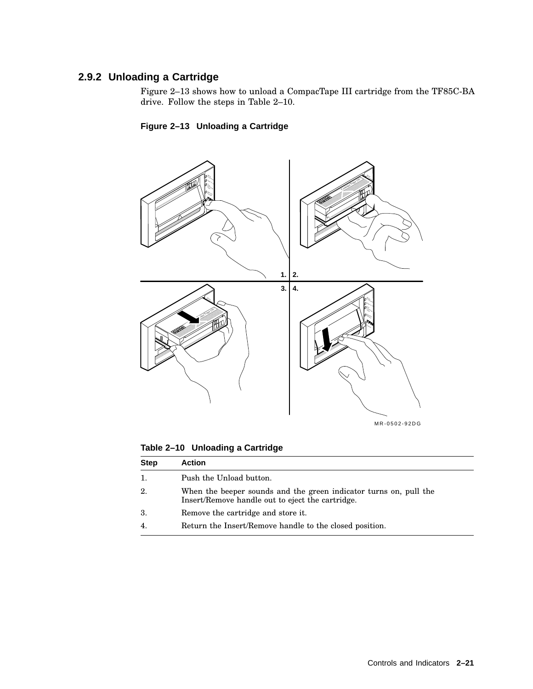## **2.9.2 Unloading a Cartridge**

Figure 2–13 shows how to unload a CompacTape III cartridge from the TF85C-BA drive. Follow the steps in Table 2–10.

### **Figure 2–13 Unloading a Cartridge**



**Table 2–10 Unloading a Cartridge**

| <b>Step</b>      | <b>Action</b>                                                                                                         |
|------------------|-----------------------------------------------------------------------------------------------------------------------|
| 1.               | Push the Unload button.                                                                                               |
| 2.               | When the beeper sounds and the green indicator turns on, pull the<br>Insert/Remove handle out to eject the cartridge. |
| 3.               | Remove the cartridge and store it.                                                                                    |
| $\overline{4}$ . | Return the Insert/Remove handle to the closed position.                                                               |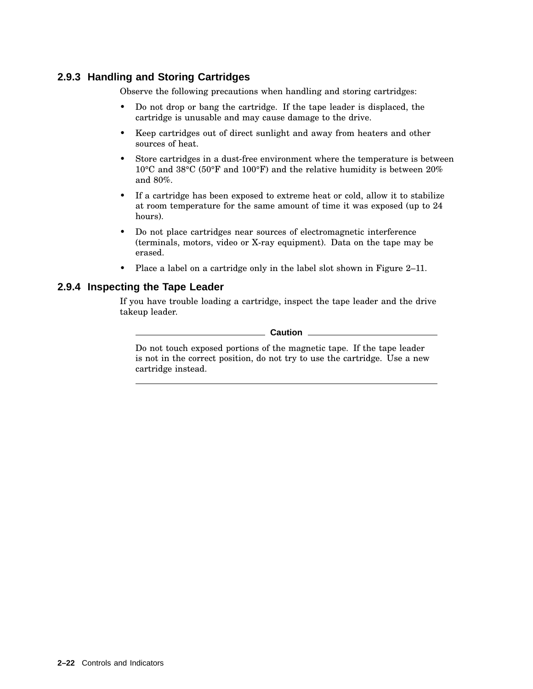### **2.9.3 Handling and Storing Cartridges**

Observe the following precautions when handling and storing cartridges:

- Do not drop or bang the cartridge. If the tape leader is displaced, the cartridge is unusable and may cause damage to the drive.
- Keep cartridges out of direct sunlight and away from heaters and other sources of heat.
- Store cartridges in a dust-free environment where the temperature is between 10°C and 38°C (50°F and 100°F) and the relative humidity is between 20% and 80%.
- If a cartridge has been exposed to extreme heat or cold, allow it to stabilize at room temperature for the same amount of time it was exposed (up to 24 hours).
- Do not place cartridges near sources of electromagnetic interference (terminals, motors, video or X-ray equipment). Data on the tape may be erased.
- Place a label on a cartridge only in the label slot shown in Figure 2–11.

#### **2.9.4 Inspecting the Tape Leader**

If you have trouble loading a cartridge, inspect the tape leader and the drive takeup leader.

**Caution**

Do not touch exposed portions of the magnetic tape. If the tape leader is not in the correct position, do not try to use the cartridge. Use a new cartridge instead.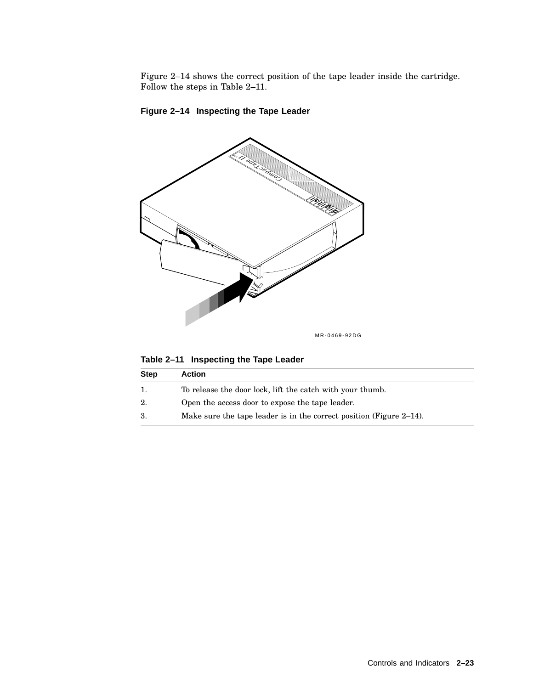Figure 2–14 shows the correct position of the tape leader inside the cartridge. Follow the steps in Table 2–11.



**Figure 2–14 Inspecting the Tape Leader**

**Table 2–11 Inspecting the Tape Leader**

| <b>Step</b> | <b>Action</b>                                                          |
|-------------|------------------------------------------------------------------------|
|             | To release the door lock, lift the catch with your thumb.              |
| 2.          | Open the access door to expose the tape leader.                        |
| -3.         | Make sure the tape leader is in the correct position (Figure $2-14$ ). |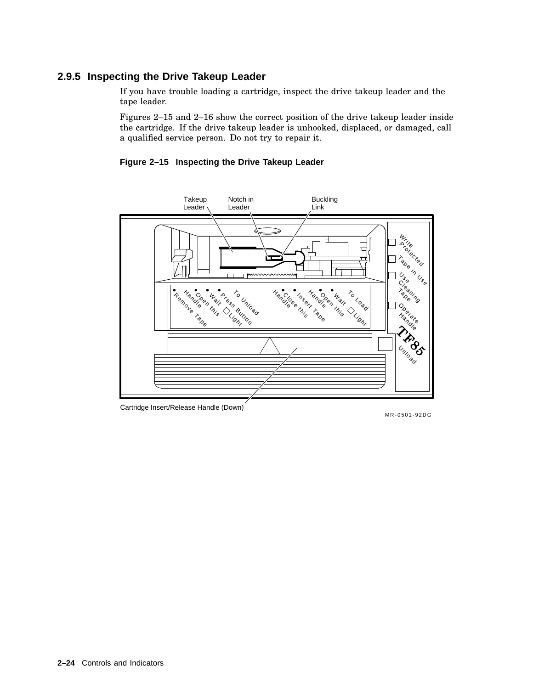### **2.9.5 Inspecting the Drive Takeup Leader**

If you have trouble loading a cartridge, inspect the drive takeup leader and the tape leader.

Figures 2–15 and 2–16 show the correct position of the drive takeup leader inside the cartridge. If the drive takeup leader is unhooked, displaced, or damaged, call a qualified service person. Do not try to repair it.

**Figure 2–15 Inspecting the Drive Takeup Leader**



Cartridge Insert/Release Handle (Down)

MR-0501-92DG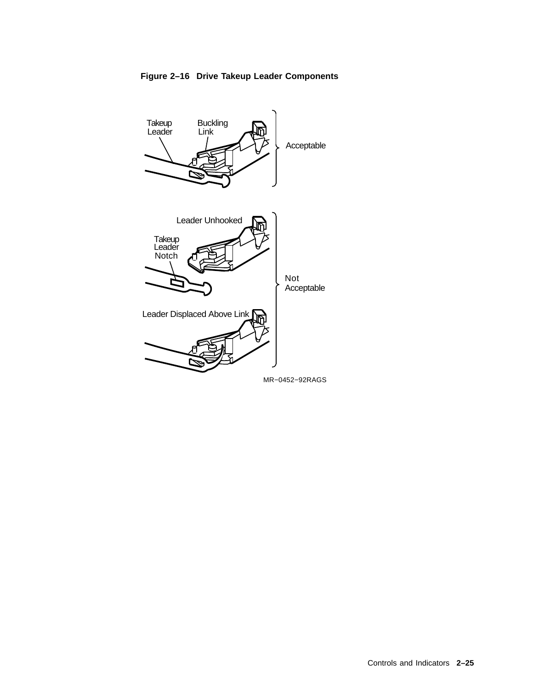

**Figure 2–16 Drive Takeup Leader Components**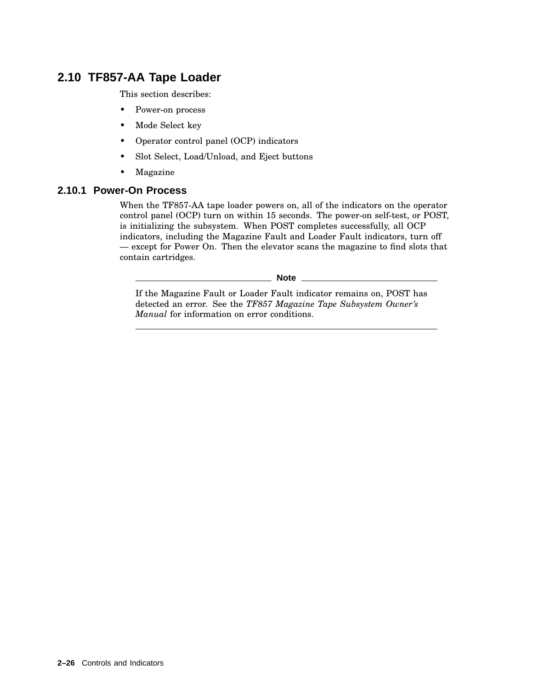# **2.10 TF857-AA Tape Loader**

This section describes:

- Power-on process
- Mode Select key
- Operator control panel (OCP) indicators
- Slot Select, Load/Unload, and Eject buttons
- Magazine

#### **2.10.1 Power-On Process**

When the TF857-AA tape loader powers on, all of the indicators on the operator control panel (OCP) turn on within 15 seconds. The power-on self-test, or POST, is initializing the subsystem. When POST completes successfully, all OCP indicators, including the Magazine Fault and Loader Fault indicators, turn off — except for Power On. Then the elevator scans the magazine to find slots that contain cartridges.

**Note**

If the Magazine Fault or Loader Fault indicator remains on, POST has detected an error. See the *TF857 Magazine Tape Subsystem Owner's Manual* for information on error conditions.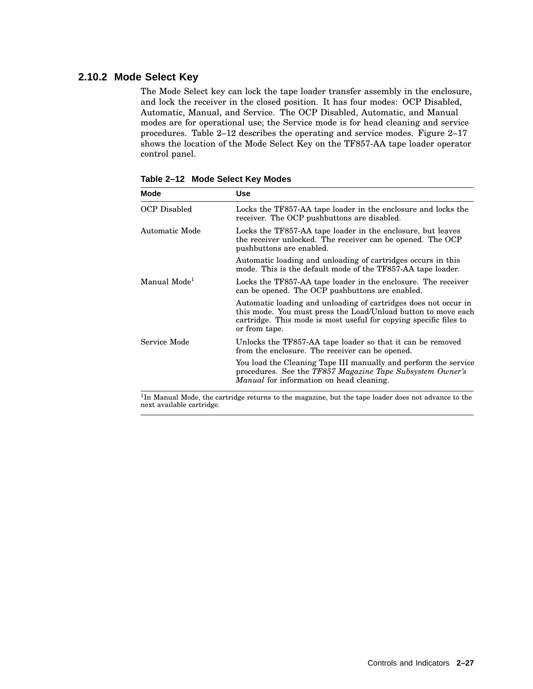#### **2.10.2 Mode Select Key**

The Mode Select key can lock the tape loader transfer assembly in the enclosure, and lock the receiver in the closed position. It has four modes: OCP Disabled, Automatic, Manual, and Service. The OCP Disabled, Automatic, and Manual modes are for operational use; the Service mode is for head cleaning and service procedures. Table 2–12 describes the operating and service modes. Figure 2–17 shows the location of the Mode Select Key on the TF857-AA tape loader operator control panel.

| Mode                     | Use                                                                                                                                                                                                                    |
|--------------------------|------------------------------------------------------------------------------------------------------------------------------------------------------------------------------------------------------------------------|
| <b>OCP</b> Disabled      | Locks the TF857-AA tape loader in the enclosure and locks the<br>receiver. The OCP pushbuttons are disabled.                                                                                                           |
| Automatic Mode           | Locks the TF857-AA tape loader in the enclosure, but leaves<br>the receiver unlocked. The receiver can be opened. The OCP<br>pushbuttons are enabled.                                                                  |
|                          | Automatic loading and unloading of cartridges occurs in this<br>mode. This is the default mode of the TF857-AA tape loader.                                                                                            |
| Manual Mode <sup>1</sup> | Locks the TF857-AA tape loader in the enclosure. The receiver<br>can be opened. The OCP pushbuttons are enabled.                                                                                                       |
|                          | Automatic loading and unloading of cartridges does not occur in<br>this mode. You must press the Load/Unload button to move each<br>cartridge. This mode is most useful for copying specific files to<br>or from tape. |
| Service Mode             | Unlocks the TF857-AA tape loader so that it can be removed<br>from the enclosure. The receiver can be opened.                                                                                                          |
|                          | You load the Cleaning Tape III manually and perform the service<br>procedures. See the TF857 Magazine Tape Subsystem Owner's<br><i>Manual</i> for information on head cleaning.                                        |

**Table 2–12 Mode Select Key Modes**

<sup>1</sup>In Manual Mode, the cartridge returns to the magazine, but the tape loader does not advance to the next available cartridge.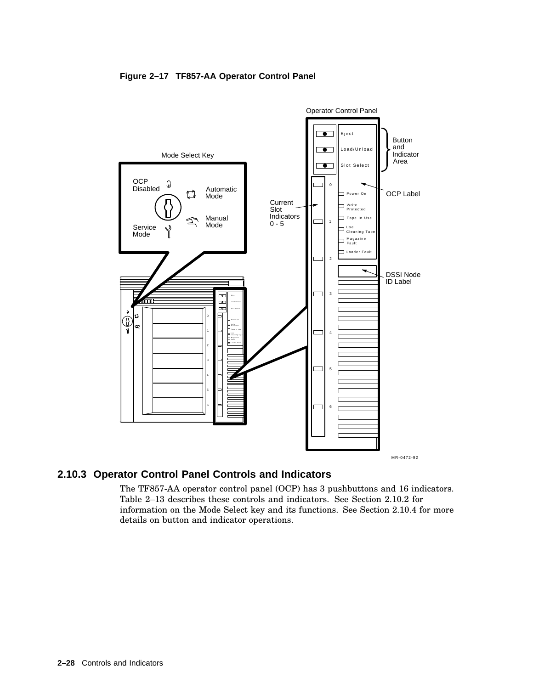



### **2.10.3 Operator Control Panel Controls and Indicators**

The TF857-AA operator control panel (OCP) has 3 pushbuttons and 16 indicators. Table 2–13 describes these controls and indicators. See Section 2.10.2 for information on the Mode Select key and its functions. See Section 2.10.4 for more details on button and indicator operations.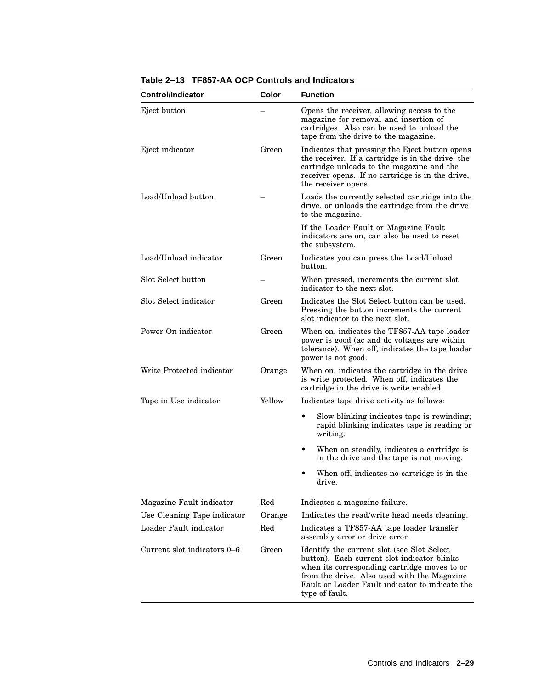| <b>Control/Indicator</b>    | Color  | <b>Function</b>                                                                                                                                                                                                                                                |
|-----------------------------|--------|----------------------------------------------------------------------------------------------------------------------------------------------------------------------------------------------------------------------------------------------------------------|
| Eject button                |        | Opens the receiver, allowing access to the<br>magazine for removal and insertion of<br>cartridges. Also can be used to unload the<br>tape from the drive to the magazine.                                                                                      |
| Eject indicator             | Green  | Indicates that pressing the Eject button opens<br>the receiver. If a cartridge is in the drive, the<br>cartridge unloads to the magazine and the<br>receiver opens. If no cartridge is in the drive,<br>the receiver opens.                                    |
| Load/Unload button          |        | Loads the currently selected cartridge into the<br>drive, or unloads the cartridge from the drive<br>to the magazine.                                                                                                                                          |
|                             |        | If the Loader Fault or Magazine Fault<br>indicators are on, can also be used to reset<br>the subsystem.                                                                                                                                                        |
| Load/Unload indicator       | Green  | Indicates you can press the Load/Unload<br>button.                                                                                                                                                                                                             |
| Slot Select button          |        | When pressed, increments the current slot<br>indicator to the next slot.                                                                                                                                                                                       |
| Slot Select indicator       | Green  | Indicates the Slot Select button can be used.<br>Pressing the button increments the current<br>slot indicator to the next slot.                                                                                                                                |
| Power On indicator          | Green  | When on, indicates the TF857-AA tape loader<br>power is good (ac and dc voltages are within<br>tolerance). When off, indicates the tape loader<br>power is not good.                                                                                           |
| Write Protected indicator   | Orange | When on, indicates the cartridge in the drive<br>is write protected. When off, indicates the<br>cartridge in the drive is write enabled.                                                                                                                       |
| Tape in Use indicator       | Yellow | Indicates tape drive activity as follows:                                                                                                                                                                                                                      |
|                             |        | Slow blinking indicates tape is rewinding;<br>$\bullet$<br>rapid blinking indicates tape is reading or<br>writing.                                                                                                                                             |
|                             |        | When on steadily, indicates a cartridge is<br>in the drive and the tape is not moving.                                                                                                                                                                         |
|                             |        | When off, indicates no cartridge is in the<br>drive.                                                                                                                                                                                                           |
| Magazine Fault indicator    | Red    | Indicates a magazine failure.                                                                                                                                                                                                                                  |
| Use Cleaning Tape indicator | Orange | Indicates the read/write head needs cleaning.                                                                                                                                                                                                                  |
| Loader Fault indicator      | Red    | Indicates a TF857-AA tape loader transfer<br>assembly error or drive error.                                                                                                                                                                                    |
| Current slot indicators 0–6 | Green  | Identify the current slot (see Slot Select)<br>button). Each current slot indicator blinks<br>when its corresponding cartridge moves to or<br>from the drive. Also used with the Magazine<br>Fault or Loader Fault indicator to indicate the<br>type of fault. |

**Table 2–13 TF857-AA OCP Controls and Indicators**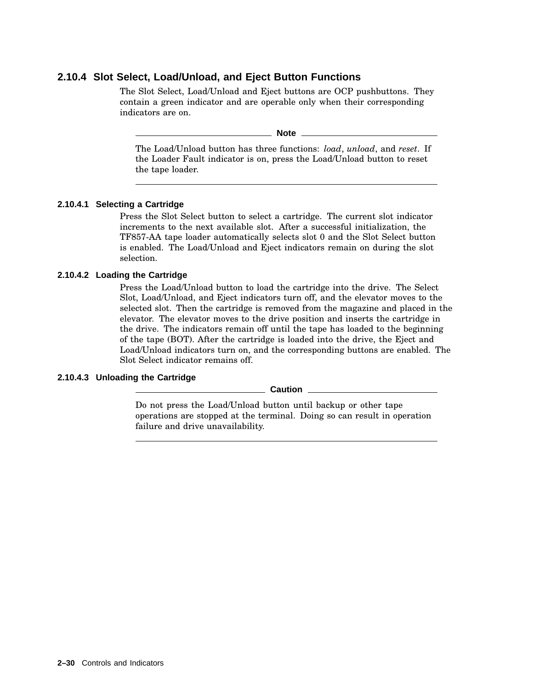### **2.10.4 Slot Select, Load/Unload, and Eject Button Functions**

The Slot Select, Load/Unload and Eject buttons are OCP pushbuttons. They contain a green indicator and are operable only when their corresponding indicators are on.

**Note**

The Load/Unload button has three functions: *load*, *unload*, and *reset*. If the Loader Fault indicator is on, press the Load/Unload button to reset the tape loader.

#### **2.10.4.1 Selecting a Cartridge**

Press the Slot Select button to select a cartridge. The current slot indicator increments to the next available slot. After a successful initialization, the TF857-AA tape loader automatically selects slot 0 and the Slot Select button is enabled. The Load/Unload and Eject indicators remain on during the slot selection.

#### **2.10.4.2 Loading the Cartridge**

Press the Load/Unload button to load the cartridge into the drive. The Select Slot, Load/Unload, and Eject indicators turn off, and the elevator moves to the selected slot. Then the cartridge is removed from the magazine and placed in the elevator. The elevator moves to the drive position and inserts the cartridge in the drive. The indicators remain off until the tape has loaded to the beginning of the tape (BOT). After the cartridge is loaded into the drive, the Eject and Load/Unload indicators turn on, and the corresponding buttons are enabled. The Slot Select indicator remains off.

#### **2.10.4.3 Unloading the Cartridge**

**Caution**

Do not press the Load/Unload button until backup or other tape operations are stopped at the terminal. Doing so can result in operation failure and drive unavailability.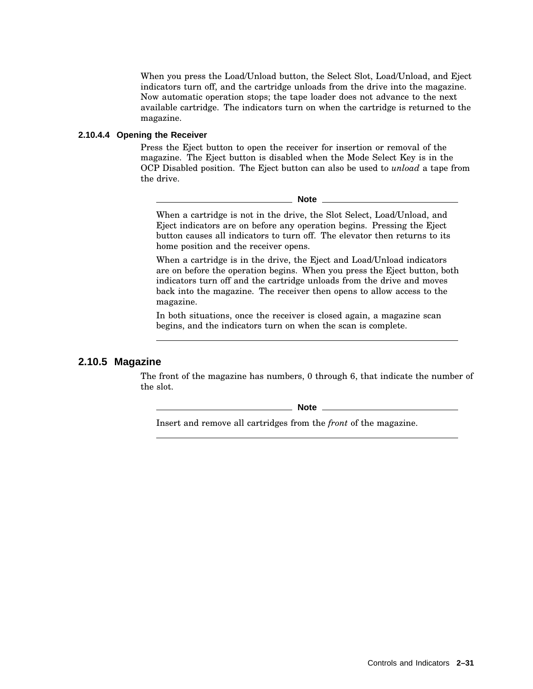When you press the Load/Unload button, the Select Slot, Load/Unload, and Eject indicators turn off, and the cartridge unloads from the drive into the magazine. Now automatic operation stops; the tape loader does not advance to the next available cartridge. The indicators turn on when the cartridge is returned to the magazine.

#### **2.10.4.4 Opening the Receiver**

Press the Eject button to open the receiver for insertion or removal of the magazine. The Eject button is disabled when the Mode Select Key is in the OCP Disabled position. The Eject button can also be used to *unload* a tape from the drive.

**Note**

When a cartridge is not in the drive, the Slot Select, Load/Unload, and Eject indicators are on before any operation begins. Pressing the Eject button causes all indicators to turn off. The elevator then returns to its home position and the receiver opens.

When a cartridge is in the drive, the Eject and Load/Unload indicators are on before the operation begins. When you press the Eject button, both indicators turn off and the cartridge unloads from the drive and moves back into the magazine. The receiver then opens to allow access to the magazine.

In both situations, once the receiver is closed again, a magazine scan begins, and the indicators turn on when the scan is complete.

#### **2.10.5 Magazine**

The front of the magazine has numbers, 0 through 6, that indicate the number of the slot.

**Note**

Insert and remove all cartridges from the *front* of the magazine.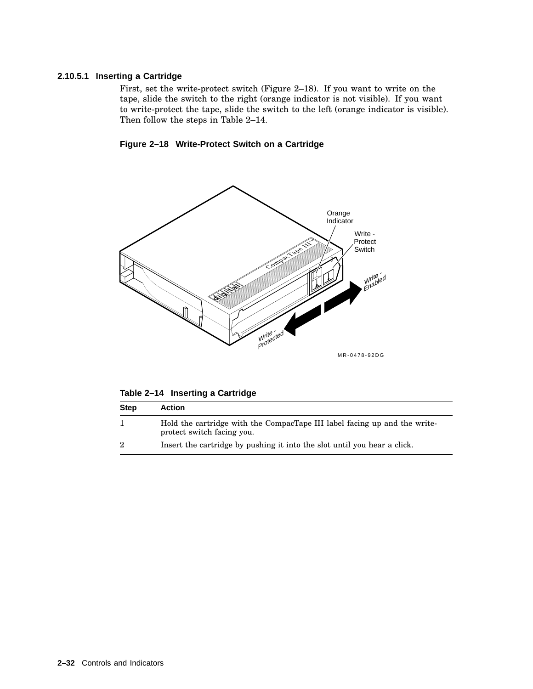#### **2.10.5.1 Inserting a Cartridge**

First, set the write-protect switch (Figure 2–18). If you want to write on the tape, slide the switch to the right (orange indicator is not visible). If you want to write-protect the tape, slide the switch to the left (orange indicator is visible). Then follow the steps in Table 2–14.





**Table 2–14 Inserting a Cartridge**

| <b>Step</b>    | <b>Action</b>                                                                                           |
|----------------|---------------------------------------------------------------------------------------------------------|
|                | Hold the cartridge with the CompacTape III label facing up and the write-<br>protect switch facing you. |
| $\overline{2}$ | Insert the cartridge by pushing it into the slot until you hear a click.                                |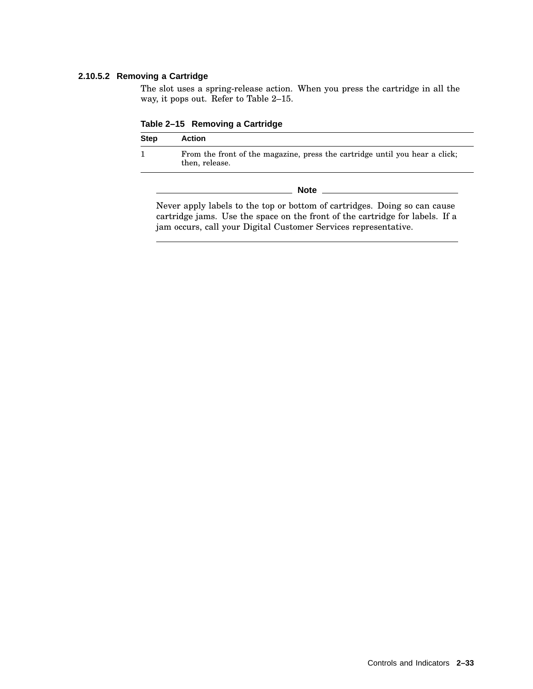#### **2.10.5.2 Removing a Cartridge**

The slot uses a spring-release action. When you press the cartridge in all the way, it pops out. Refer to Table 2–15.

**Table 2–15 Removing a Cartridge**

| <b>Step</b> | <b>Action</b>                                                                                 |  |
|-------------|-----------------------------------------------------------------------------------------------|--|
|             | From the front of the magazine, press the cartridge until you hear a click;<br>then, release. |  |
|             | <b>Note</b>                                                                                   |  |

Never apply labels to the top or bottom of cartridges. Doing so can cause cartridge jams. Use the space on the front of the cartridge for labels. If a jam occurs, call your Digital Customer Services representative.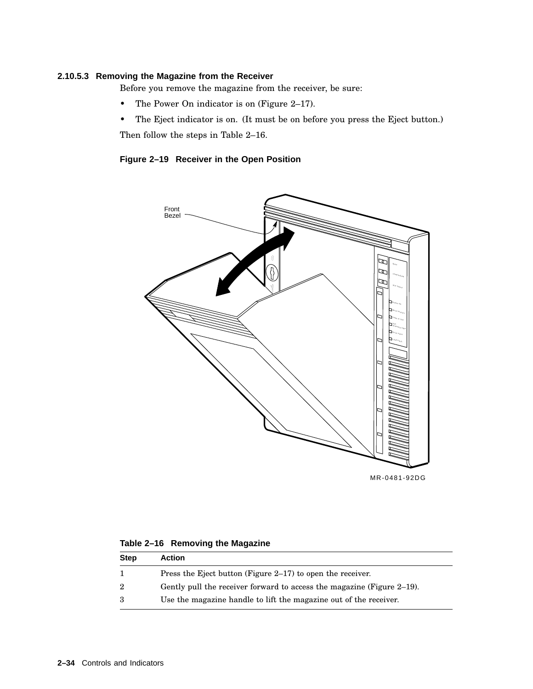#### **2.10.5.3 Removing the Magazine from the Receiver**

Before you remove the magazine from the receiver, be sure:

- The Power On indicator is on (Figure 2–17).
- The Eject indicator is on. (It must be on before you press the Eject button.)

Then follow the steps in Table 2–16.

**Figure 2–19 Receiver in the Open Position**



MR-0481-92DG

| Table 2-16 Removing the Magazine |  |
|----------------------------------|--|
|----------------------------------|--|

| Step | <b>Action</b>                                                          |
|------|------------------------------------------------------------------------|
|      | Press the Eject button (Figure $2-17$ ) to open the receiver.          |
| 2    | Gently pull the receiver forward to access the magazine (Figure 2–19). |
| з    | Use the magazine handle to lift the magazine out of the receiver.      |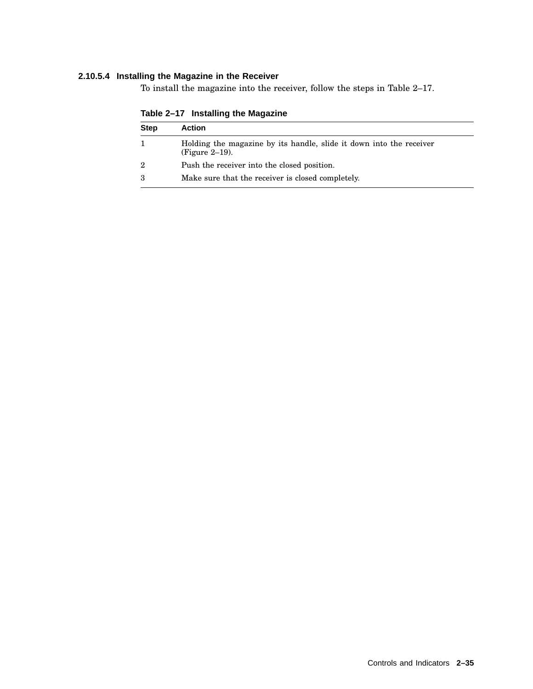#### **2.10.5.4 Installing the Magazine in the Receiver**

To install the magazine into the receiver, follow the steps in Table 2–17.

| <b>Step</b> | <b>Action</b>                                                                            |
|-------------|------------------------------------------------------------------------------------------|
|             | Holding the magazine by its handle, slide it down into the receiver<br>$(Figure 2-19)$ . |
| 2           | Push the receiver into the closed position.                                              |
|             | Make sure that the receiver is closed completely.                                        |

**Table 2–17 Installing the Magazine**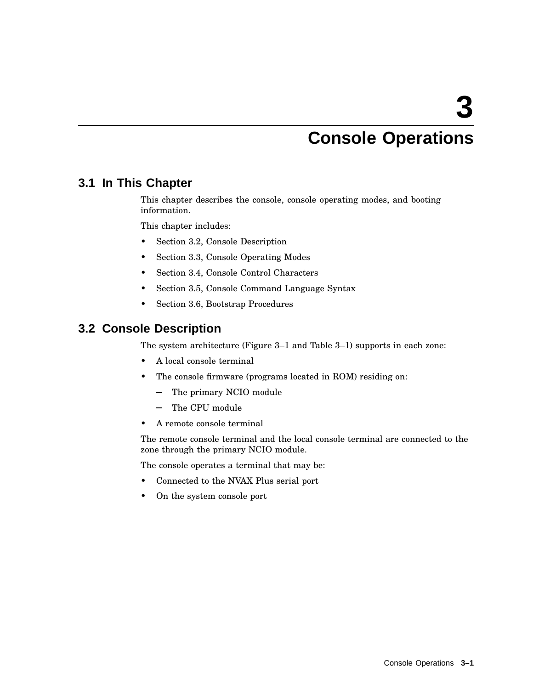# **Console Operations**

# **3.1 In This Chapter**

This chapter describes the console, console operating modes, and booting information.

This chapter includes:

- Section 3.2, Console Description
- Section 3.3, Console Operating Modes
- Section 3.4, Console Control Characters
- Section 3.5, Console Command Language Syntax
- Section 3.6, Bootstrap Procedures

# **3.2 Console Description**

The system architecture (Figure 3–1 and Table 3–1) supports in each zone:

- A local console terminal
- The console firmware (programs located in ROM) residing on:
	- $\frac{1}{2}$ The primary NCIO module
	- The CPU module
- A remote console terminal

The remote console terminal and the local console terminal are connected to the zone through the primary NCIO module.

The console operates a terminal that may be:

- Connected to the NVAX Plus serial port
- On the system console port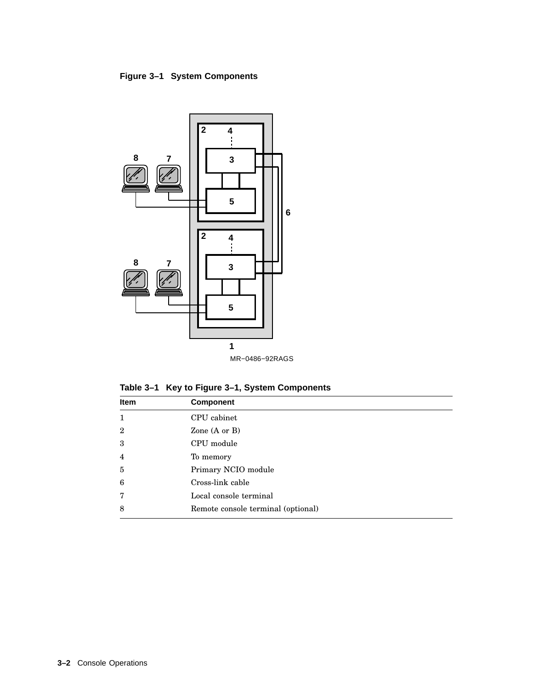### **Figure 3–1 System Components**



**Table 3–1 Key to Figure 3–1, System Components**

| Item           | <b>Component</b>                   |  |
|----------------|------------------------------------|--|
| $\mathbf{1}$   | CPU cabinet                        |  |
| $\overline{2}$ | Zone (A or B)                      |  |
| 3              | CPU module                         |  |
| $\overline{4}$ | To memory                          |  |
| $\overline{5}$ | Primary NCIO module                |  |
| 6              | Cross-link cable                   |  |
| 7              | Local console terminal             |  |
| 8              | Remote console terminal (optional) |  |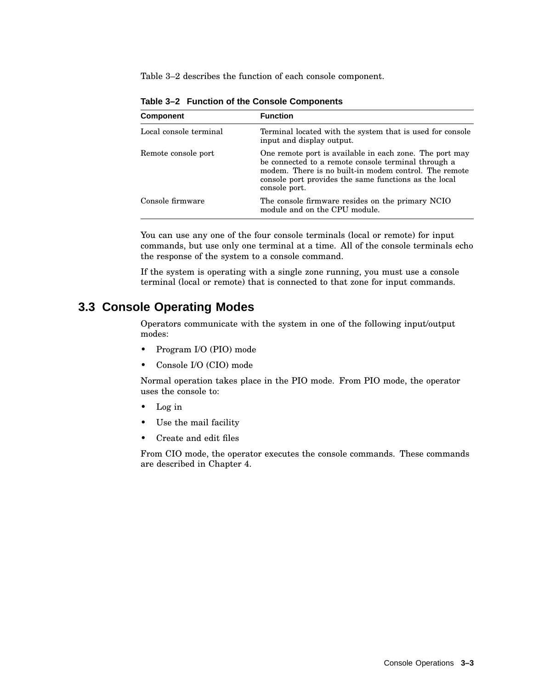Table 3–2 describes the function of each console component.

| <b>Component</b>       | <b>Function</b>                                                                                                                                                                                                                                   |
|------------------------|---------------------------------------------------------------------------------------------------------------------------------------------------------------------------------------------------------------------------------------------------|
| Local console terminal | Terminal located with the system that is used for console<br>input and display output.                                                                                                                                                            |
| Remote console port    | One remote port is available in each zone. The port may<br>be connected to a remote console terminal through a<br>modem. There is no built-in modem control. The remote<br>console port provides the same functions as the local<br>console port. |
| Console firmware       | The console firmware resides on the primary NCIO<br>module and on the CPU module.                                                                                                                                                                 |

**Table 3–2 Function of the Console Components**

You can use any one of the four console terminals (local or remote) for input commands, but use only one terminal at a time. All of the console terminals echo the response of the system to a console command.

If the system is operating with a single zone running, you must use a console terminal (local or remote) that is connected to that zone for input commands.

# **3.3 Console Operating Modes**

Operators communicate with the system in one of the following input/output modes:

- Program I/O (PIO) mode
- Console I/O (CIO) mode

Normal operation takes place in the PIO mode. From PIO mode, the operator uses the console to:

- Log in
- Use the mail facility
- Create and edit files

From CIO mode, the operator executes the console commands. These commands are described in Chapter 4.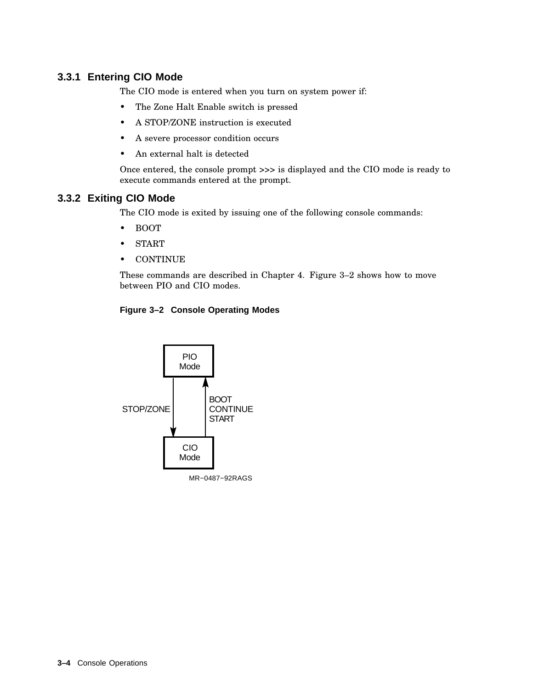### **3.3.1 Entering CIO Mode**

The CIO mode is entered when you turn on system power if:

- The Zone Halt Enable switch is pressed
- A STOP/ZONE instruction is executed
- A severe processor condition occurs
- An external halt is detected

Once entered, the console prompt >>> is displayed and the CIO mode is ready to execute commands entered at the prompt.

### **3.3.2 Exiting CIO Mode**

The CIO mode is exited by issuing one of the following console commands:

- BOOT
- START
- CONTINUE

These commands are described in Chapter 4. Figure 3–2 shows how to move between PIO and CIO modes.

#### **Figure 3–2 Console Operating Modes**

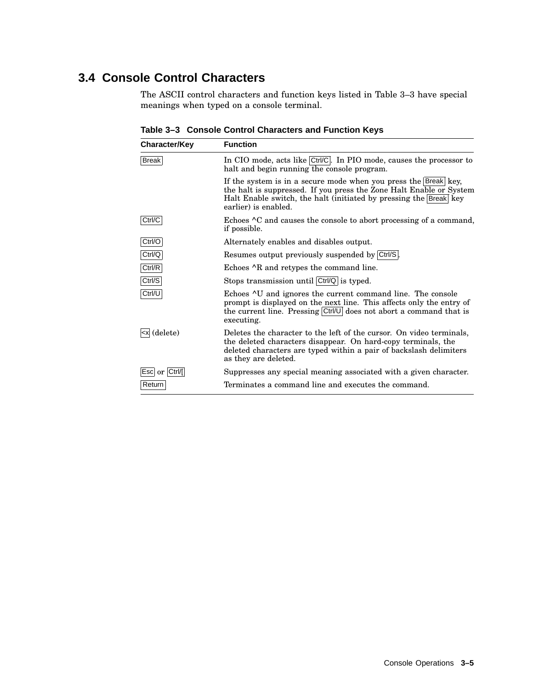# **3.4 Console Control Characters**

The ASCII control characters and function keys listed in Table 3–3 have special meanings when typed on a console terminal.

| <b>Character/Key</b>                                                                                                                                                                                                                                                      | <b>Function</b>                                                                                                                                                                                                                                         |  |
|---------------------------------------------------------------------------------------------------------------------------------------------------------------------------------------------------------------------------------------------------------------------------|---------------------------------------------------------------------------------------------------------------------------------------------------------------------------------------------------------------------------------------------------------|--|
| <b>Break</b>                                                                                                                                                                                                                                                              | In CIO mode, acts like Ctrl/C. In PIO mode, causes the processor to<br>halt and begin running the console program.                                                                                                                                      |  |
|                                                                                                                                                                                                                                                                           | If the system is in a secure mode when you press the Break key,<br>the halt is suppressed. If you press the Zone Halt Enable or System<br>Halt Enable switch, the halt (initiated by pressing the Break key<br>earlier) is enabled.                     |  |
| Ctrl/C                                                                                                                                                                                                                                                                    | Echoes <sup>^</sup> C and causes the console to abort processing of a command,<br>if possible.                                                                                                                                                          |  |
| Ctrl/O                                                                                                                                                                                                                                                                    | Alternately enables and disables output.                                                                                                                                                                                                                |  |
| Ctrl/Q                                                                                                                                                                                                                                                                    | Resumes output previously suspended by Ctrl/S.                                                                                                                                                                                                          |  |
| Ctrl/R                                                                                                                                                                                                                                                                    | Echoes $\wedge$ R and retypes the command line.                                                                                                                                                                                                         |  |
| Ctrl/S                                                                                                                                                                                                                                                                    | Stops transmission until Ctrl/Q is typed.                                                                                                                                                                                                               |  |
| Ctrl/U                                                                                                                                                                                                                                                                    | Echoes <sup><math>\sim</math></sup> U and ignores the current command line. The console<br>prompt is displayed on the next line. This affects only the entry of<br>the current line. Pressing $ Ctrl/U $ does not abort a command that is<br>executing. |  |
| <x (delete)<="" td=""><td>Deletes the character to the left of the cursor. On video terminals,<br/>the deleted characters disappear. On hard-copy terminals, the<br/>deleted characters are typed within a pair of backslash delimiters<br/>as they are deleted.</td></x> | Deletes the character to the left of the cursor. On video terminals,<br>the deleted characters disappear. On hard-copy terminals, the<br>deleted characters are typed within a pair of backslash delimiters<br>as they are deleted.                     |  |
| Esc or Ctrl/                                                                                                                                                                                                                                                              | Suppresses any special meaning associated with a given character.                                                                                                                                                                                       |  |
| Return                                                                                                                                                                                                                                                                    | Terminates a command line and executes the command.                                                                                                                                                                                                     |  |

**Table 3–3 Console Control Characters and Function Keys**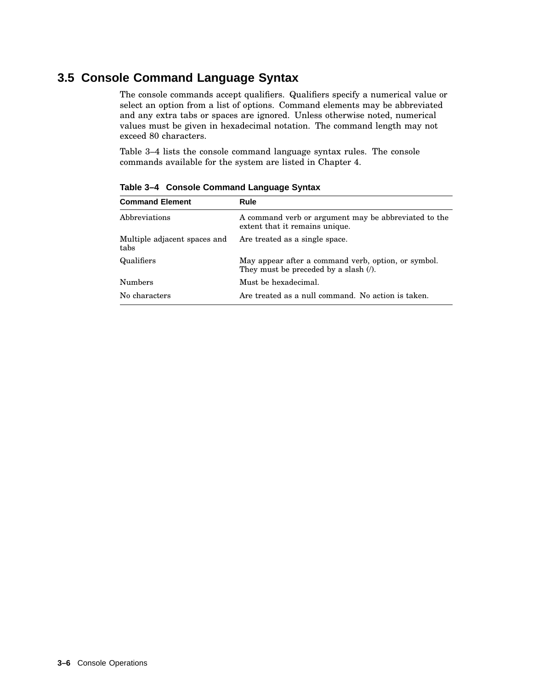# **3.5 Console Command Language Syntax**

The console commands accept qualifiers. Qualifiers specify a numerical value or select an option from a list of options. Command elements may be abbreviated and any extra tabs or spaces are ignored. Unless otherwise noted, numerical values must be given in hexadecimal notation. The command length may not exceed 80 characters.

Table 3–4 lists the console command language syntax rules. The console commands available for the system are listed in Chapter 4.

| <b>Command Element</b>               | Rule                                                                                         |  |
|--------------------------------------|----------------------------------------------------------------------------------------------|--|
| Abbreviations                        | A command verb or argument may be abbreviated to the<br>extent that it remains unique.       |  |
| Multiple adjacent spaces and<br>tabs | Are treated as a single space.                                                               |  |
| Qualifiers                           | May appear after a command verb, option, or symbol.<br>They must be preceded by a slash (/). |  |
| <b>Numbers</b>                       | Must be hexadecimal.                                                                         |  |
| No characters                        | Are treated as a null command. No action is taken.                                           |  |
|                                      |                                                                                              |  |

**Table 3–4 Console Command Language Syntax**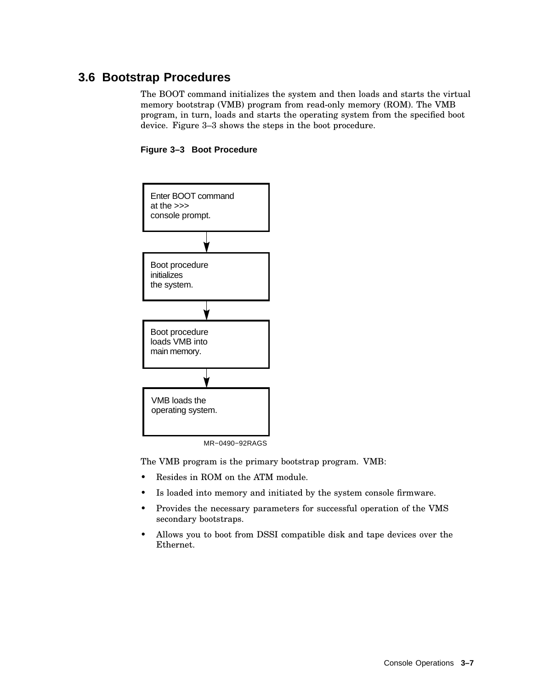# **3.6 Bootstrap Procedures**

The BOOT command initializes the system and then loads and starts the virtual memory bootstrap (VMB) program from read-only memory (ROM). The VMB program, in turn, loads and starts the operating system from the specified boot device. Figure 3–3 shows the steps in the boot procedure.





MR−0490−92RAGS

The VMB program is the primary bootstrap program. VMB:

- Resides in ROM on the ATM module.
- Is loaded into memory and initiated by the system console firmware.
- Provides the necessary parameters for successful operation of the VMS secondary bootstraps.
- Allows you to boot from DSSI compatible disk and tape devices over the Ethernet.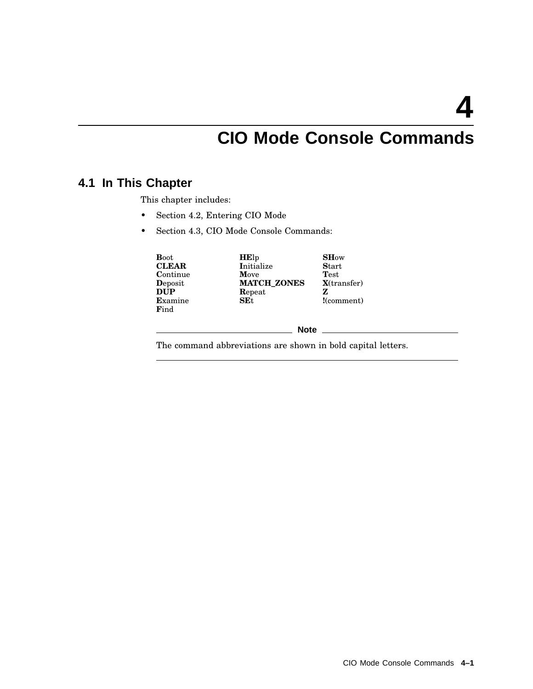**4**

# **CIO Mode Console Commands**

# **4.1 In This Chapter**

This chapter includes:

- Section 4.2, Entering CIO Mode
- Section 4.3, CIO Mode Console Commands:

| <b>Boot</b><br><b>CLEAR</b><br>Continue<br>Deposit<br><b>DUP</b><br>Examine<br>Find | <b>HE</b> lp<br>Initialize<br>Move<br><b>MATCH_ZONES</b><br>Repeat<br>SE <sub>t</sub> | <b>SHow</b><br><b>Start</b><br>Test<br>$X$ (transfer)<br>z<br>!( <i>comment</i> ) |
|-------------------------------------------------------------------------------------|---------------------------------------------------------------------------------------|-----------------------------------------------------------------------------------|
|                                                                                     | <b>Note</b>                                                                           |                                                                                   |

The command abbreviations are shown in bold capital letters.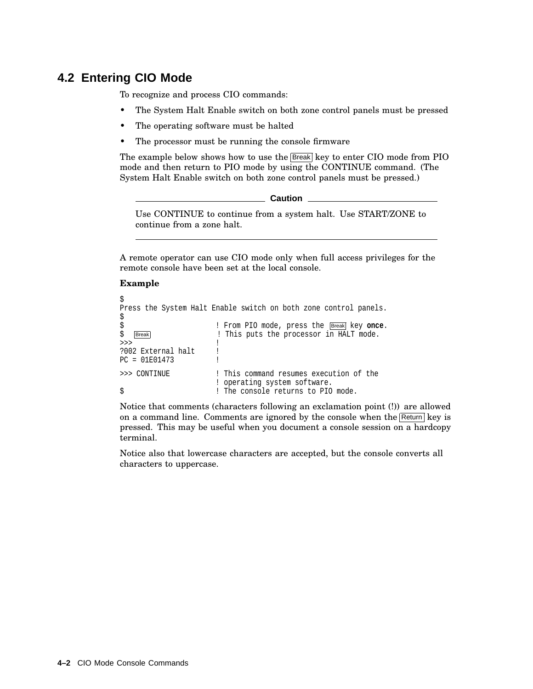# **4.2 Entering CIO Mode**

To recognize and process CIO commands:

- The System Halt Enable switch on both zone control panels must be pressed
- The operating software must be halted
- The processor must be running the console firmware

The example below shows how to use the **Break** key to enter CIO mode from PIO mode and then return to PIO mode by using the CONTINUE command. (The System Halt Enable switch on both zone control panels must be pressed.)

```
Caution
```
Use CONTINUE to continue from a system halt. Use START/ZONE to continue from a zone halt.

A remote operator can use CIO mode only when full access privileges for the remote console have been set at the local console.

#### **Example**

```
$
Press the System Halt Enable switch on both zone control panels.
$
$<br>$ Exercise Exercise Prom PIO mode, press the Exercise Reproductional Reproductional Reproductional Press, pressure<br>$ Exercise Reproductional Press, pressure in HALT mode.
   Break Break 1988 ! This puts the processor in HALT mode.
\rightarrow >>> \qquad !
?002 External halt !
PC = 01E01473 !
>>> CONTINUE ! This command resumes execution of the
                           ! operating system software.
$ ! The console returns to PIO mode.
```
Notice that comments (characters following an exclamation point (!)) are allowed on a command line. Comments are ignored by the console when the  $R_{\text{return}}$  key is pressed. This may be useful when you document a console session on a hardcopy terminal.

Notice also that lowercase characters are accepted, but the console converts all characters to uppercase.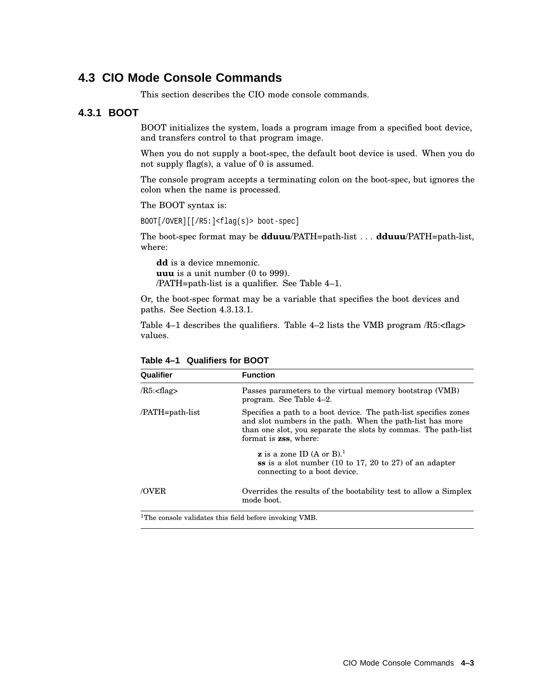## **4.3 CIO Mode Console Commands**

This section describes the CIO mode console commands.

### **4.3.1 BOOT**

BOOT initializes the system, loads a program image from a specified boot device, and transfers control to that program image.

When you do not supply a boot-spec, the default boot device is used. When you do not supply flag(s), a value of 0 is assumed.

The console program accepts a terminating colon on the boot-spec, but ignores the colon when the name is processed.

The BOOT syntax is:

BOOT[/OVER][[/R5:]<flag(s)> boot-spec]

The boot-spec format may be **dduuu**/PATH=path-list . . . **dduuu**/PATH=path-list, where:

**dd** is a device mnemonic. **uuu** is a unit number (0 to 999). /PATH=path-list is a qualifier. See Table 4–1.

Or, the boot-spec format may be a variable that specifies the boot devices and paths. See Section 4.3.13.1.

Table 4–1 describes the qualifiers. Table 4–2 lists the VMB program /R5:<flag> values.

| Qualifier             | <b>Function</b>                                                                                                                                                                                                                  |  |
|-----------------------|----------------------------------------------------------------------------------------------------------------------------------------------------------------------------------------------------------------------------------|--|
| $/R5$ : <flag></flag> | Passes parameters to the virtual memory bootstrap (VMB)<br>program. See Table 4-2.                                                                                                                                               |  |
| /PATH=path-list       | Specifies a path to a boot device. The path-list specifies zones<br>and slot numbers in the path. When the path-list has more<br>than one slot, you separate the slots by commas. The path-list<br>format is <b>zss</b> , where: |  |
|                       | <b>z</b> is a zone ID (A or B). <sup>1</sup><br>ss is a slot number $(10 \text{ to } 17, 20 \text{ to } 27)$ of an adapter<br>connecting to a boot device.                                                                       |  |
| /OVER                 | Overrides the results of the bootability test to allow a Simplex<br>mode boot.                                                                                                                                                   |  |
|                       | $100.1$ $100.1$ $100.1$ $100.1$ $100.1$ $100.1$ $100.1$ $100.1$ $100.1$ $100.1$                                                                                                                                                  |  |

**Table 4–1 Qualifiers for BOOT**

<sup>1</sup>The console validates this field before invoking VMB.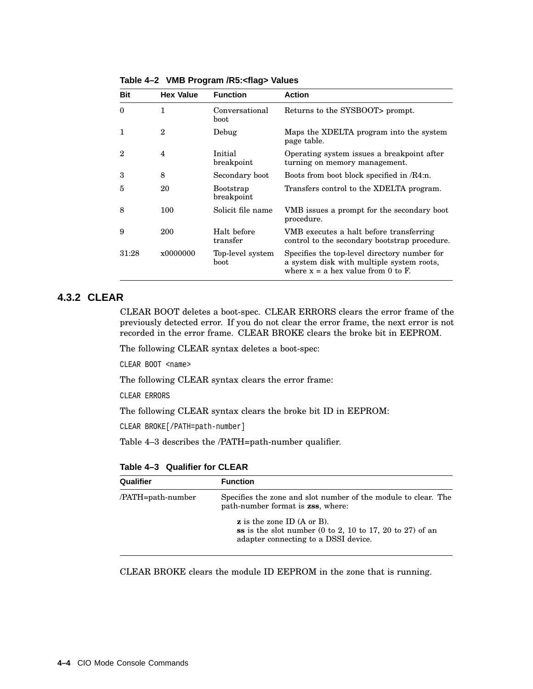| <b>Bit</b> | <b>Hex Value</b> | <b>Function</b>                | <b>Action</b>                                                                                                                     |
|------------|------------------|--------------------------------|-----------------------------------------------------------------------------------------------------------------------------------|
| $\theta$   |                  | Conversational<br>boot         | Returns to the SYSBOOT prompt.                                                                                                    |
| 1          | $\mathbf{2}$     | Debug                          | Maps the XDELTA program into the system<br>page table.                                                                            |
| 2          | 4                | Initial<br>breakpoint          | Operating system issues a breakpoint after<br>turning on memory management.                                                       |
| 3          | 8                | Secondary boot                 | Boots from boot block specified in /R4:n.                                                                                         |
| 5          | 20               | <b>Bootstrap</b><br>breakpoint | Transfers control to the XDELTA program.                                                                                          |
| 8          | 100              | Solicit file name              | VMB issues a prompt for the secondary boot<br>procedure.                                                                          |
| 9          | 200              | Halt before<br>transfer        | VMB executes a halt before transferring<br>control to the secondary bootstrap procedure.                                          |
| 31:28      | x0000000         | Top-level system<br>boot       | Specifies the top-level directory number for<br>a system disk with multiple system roots,<br>where $x = a$ hex value from 0 to F. |

**Table 4–2 VMB Program /R5:<flag> Values**

## **4.3.2 CLEAR**

CLEAR BOOT deletes a boot-spec. CLEAR ERRORS clears the error frame of the previously detected error. If you do not clear the error frame, the next error is not recorded in the error frame. CLEAR BROKE clears the broke bit in EEPROM.

The following CLEAR syntax deletes a boot-spec:

CLEAR BOOT <name>

The following CLEAR syntax clears the error frame:

CLEAR ERRORS

The following CLEAR syntax clears the broke bit ID in EEPROM:

CLEAR BROKE[/PATH=path-number]

Table 4–3 describes the /PATH=path-number qualifier.

**Table 4–3 Qualifier for CLEAR**

| Qualifier         | <b>Function</b>                                                                                                                                                            |
|-------------------|----------------------------------------------------------------------------------------------------------------------------------------------------------------------------|
| /PATH=path-number | Specifies the zone and slot number of the module to clear. The<br>path-number format is <b>zss</b> , where:                                                                |
|                   | $\boldsymbol{z}$ is the zone ID (A or B).<br>ss is the slot number $(0 \text{ to } 2, 10 \text{ to } 17, 20 \text{ to } 27)$ of an<br>adapter connecting to a DSSI device. |

CLEAR BROKE clears the module ID EEPROM in the zone that is running.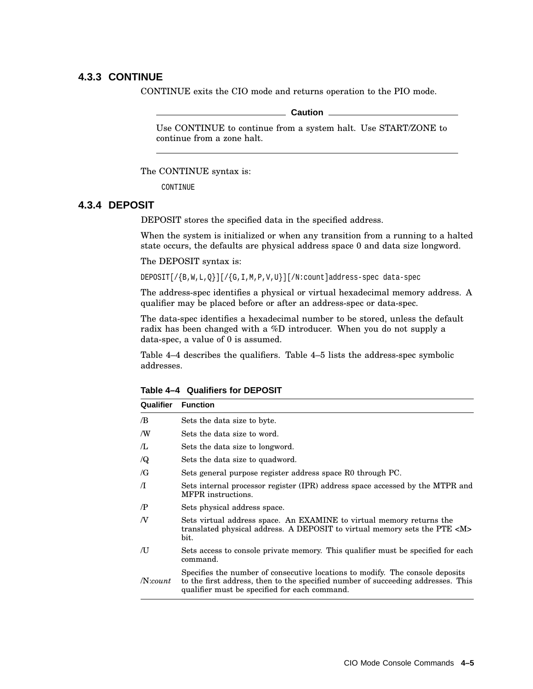#### **4.3.3 CONTINUE**

CONTINUE exits the CIO mode and returns operation to the PIO mode.

#### **Caution**

Use CONTINUE to continue from a system halt. Use START/ZONE to continue from a zone halt.

The CONTINUE syntax is:

CONTINUE

#### **4.3.4 DEPOSIT**

DEPOSIT stores the specified data in the specified address.

When the system is initialized or when any transition from a running to a halted state occurs, the defaults are physical address space 0 and data size longword.

The DEPOSIT syntax is:

DEPOSIT[/{B,W,L,Q}][/{G,I,M,P,V,U}][/N:count]address-spec data-spec

The address-spec identifies a physical or virtual hexadecimal memory address. A qualifier may be placed before or after an address-spec or data-spec.

The data-spec identifies a hexadecimal number to be stored, unless the default radix has been changed with a %D introducer. When you do not supply a data-spec, a value of 0 is assumed.

Table 4–4 describes the qualifiers. Table 4–5 lists the address-spec symbolic addresses.

| Qualifier  | <b>Function</b>                                                                                                                                                                                                    |
|------------|--------------------------------------------------------------------------------------------------------------------------------------------------------------------------------------------------------------------|
| /B         | Sets the data size to byte.                                                                                                                                                                                        |
| /W         | Sets the data size to word.                                                                                                                                                                                        |
| Æ          | Sets the data size to longword.                                                                                                                                                                                    |
| $\sqrt{Q}$ | Sets the data size to quadword.                                                                                                                                                                                    |
| /G         | Sets general purpose register address space R0 through PC.                                                                                                                                                         |
| $\pi$      | Sets internal processor register (IPR) address space accessed by the MTPR and<br>MFPR instructions.                                                                                                                |
| $\sqrt{P}$ | Sets physical address space.                                                                                                                                                                                       |
| N          | Sets virtual address space. An EXAMINE to virtual memory returns the<br>translated physical address. A DEPOSIT to virtual memory sets the PTE <m><br/>bit.</m>                                                     |
| ÆΙ         | Sets access to console private memory. This qualifier must be specified for each<br>command.                                                                                                                       |
| $N$ :count | Specifies the number of consecutive locations to modify. The console deposits<br>to the first address, then to the specified number of succeeding addresses. This<br>qualifier must be specified for each command. |

**Table 4–4 Qualifiers for DEPOSIT**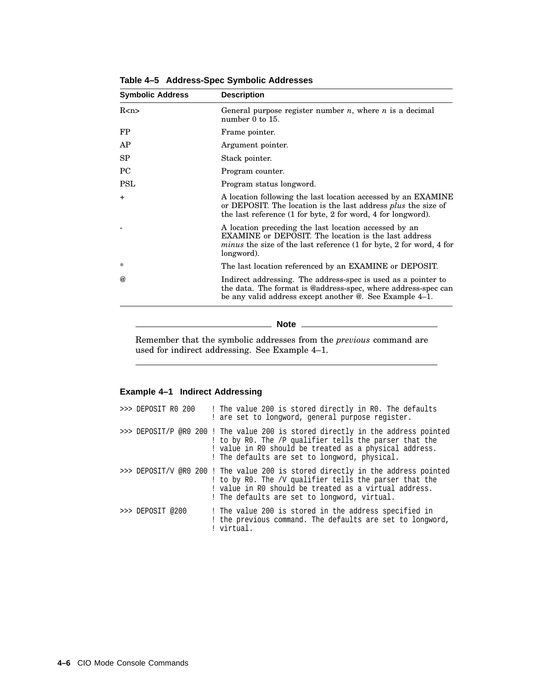| <b>Symbolic Address</b> | <b>Description</b>                                                                                                                                                                                               |  |
|-------------------------|------------------------------------------------------------------------------------------------------------------------------------------------------------------------------------------------------------------|--|
| R < n >                 | General purpose register number $n$ , where $n$ is a decimal<br>number $0$ to $15$ .                                                                                                                             |  |
| FP                      | Frame pointer.                                                                                                                                                                                                   |  |
| AP                      | Argument pointer.                                                                                                                                                                                                |  |
| SP                      | Stack pointer.                                                                                                                                                                                                   |  |
| PC                      | Program counter.                                                                                                                                                                                                 |  |
| <b>PSL</b>              | Program status longword.                                                                                                                                                                                         |  |
| $+$                     | A location following the last location accessed by an EXAMINE<br>or DEPOSIT. The location is the last address <i>plus</i> the size of<br>the last reference (1 for byte, 2 for word, 4 for longword).            |  |
|                         | A location preceding the last location accessed by an<br><b>EXAMINE</b> or DEPOSIT. The location is the last address<br><i>minus</i> the size of the last reference (1 for byte, 2 for word, 4 for<br>longword). |  |
| *                       | The last location referenced by an EXAMINE or DEPOSIT.                                                                                                                                                           |  |
| $\omega$                | Indirect addressing. The address-spec is used as a pointer to<br>the data. The format is @address-spec, where address-spec can<br>be any valid address except another $\mathcal Q$ . See Example 4–1.            |  |

**Table 4–5 Address-Spec Symbolic Addresses**

**Note**

Remember that the symbolic addresses from the *previous* command are used for indirect addressing. See Example 4–1.

#### **Example 4–1 Indirect Addressing**

| >>> DEPOSIT R0 200 | ! The value 200 is stored directly in RO. The defaults<br>! are set to longword, general purpose register.                                                                                                                                           |
|--------------------|------------------------------------------------------------------------------------------------------------------------------------------------------------------------------------------------------------------------------------------------------|
|                    | >>> DEPOSIT/P @R0 200 ! The value 200 is stored directly in the address pointed<br>! to by RO. The /P qualifier tells the parser that the<br>! value in RO should be treated as a physical address.<br>! The defaults are set to longword, physical. |
|                    | >>> DEPOSIT/V @R0 200 ! The value 200 is stored directly in the address pointed<br>! to by RO. The /V qualifier tells the parser that the<br>! value in R0 should be treated as a virtual address.<br>! The defaults are set to longword, virtual.   |
| $>>$ DEPOSIT @200  | ! The value 200 is stored in the address specified in<br>! the previous command. The defaults are set to longword,<br>virtual.                                                                                                                       |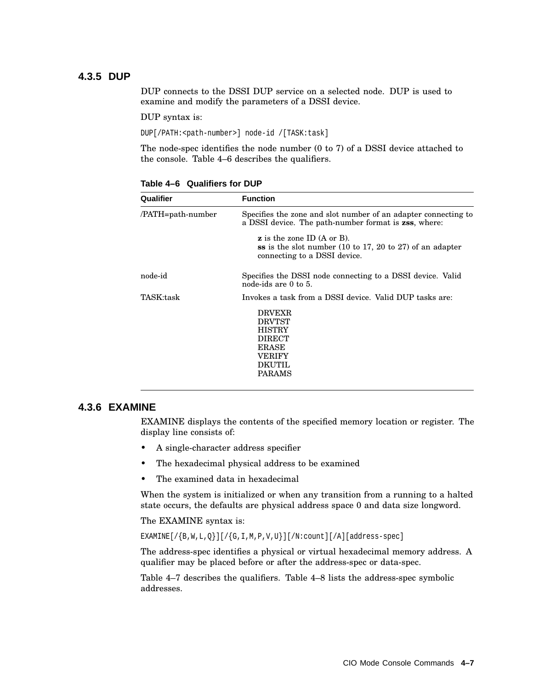### **4.3.5 DUP**

DUP connects to the DSSI DUP service on a selected node. DUP is used to examine and modify the parameters of a DSSI device.

DUP syntax is:

DUP[/PATH:<path-number>] node-id /[TASK:task]

The node-spec identifies the node number (0 to 7) of a DSSI device attached to the console. Table 4–6 describes the qualifiers.

| Qualifier         | <b>Function</b>                                                                                                                                           |
|-------------------|-----------------------------------------------------------------------------------------------------------------------------------------------------------|
| /PATH=path-number | Specifies the zone and slot number of an adapter connecting to<br>a DSSI device. The path-number format is <b>zss</b> , where:                            |
|                   | $\boldsymbol{z}$ is the zone ID (A or B).<br>ss is the slot number $(10 \text{ to } 17, 20 \text{ to } 27)$ of an adapter<br>connecting to a DSSI device. |
| node-id           | Specifies the DSSI node connecting to a DSSI device. Valid<br>node-ids are 0 to 5.                                                                        |
| TASK:task         | Invokes a task from a DSSI device. Valid DUP tasks are:                                                                                                   |
|                   | <b>DRVEXR</b><br><b>DRVTST</b><br><b>HISTRY</b><br><b>DIRECT</b><br><b>ERASE</b><br>VERIFY<br><b>DKUTIL</b><br><b>PARAMS</b>                              |

**Table 4–6 Qualifiers for DUP**

#### **4.3.6 EXAMINE**

EXAMINE displays the contents of the specified memory location or register. The display line consists of:

- A single-character address specifier
- The hexadecimal physical address to be examined
- The examined data in hexadecimal

When the system is initialized or when any transition from a running to a halted state occurs, the defaults are physical address space 0 and data size longword.

The EXAMINE syntax is:

EXAMINE $[ / {B, W, L, Q}]$ ][/ $[G, I, M, P, V, U]$ ][/N:count][/A][address-spec]

The address-spec identifies a physical or virtual hexadecimal memory address. A qualifier may be placed before or after the address-spec or data-spec.

Table 4–7 describes the qualifiers. Table 4–8 lists the address-spec symbolic addresses.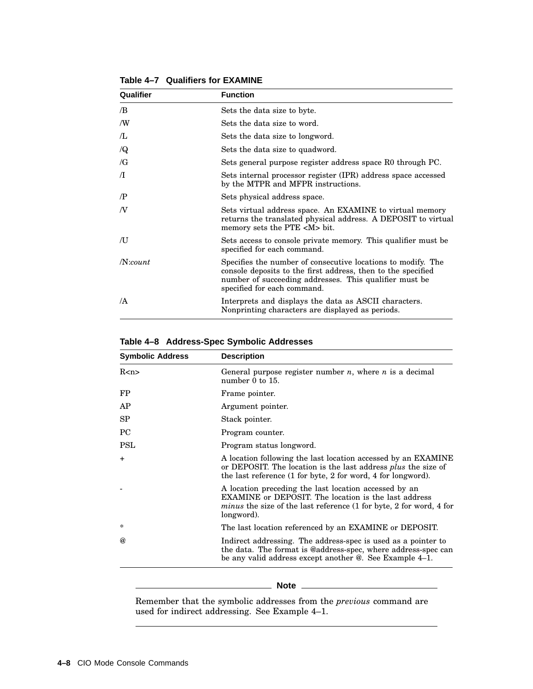| Qualifier  | <b>Function</b>                                                                                                                                                                                                       |  |
|------------|-----------------------------------------------------------------------------------------------------------------------------------------------------------------------------------------------------------------------|--|
| /B         | Sets the data size to byte.                                                                                                                                                                                           |  |
| /W         | Sets the data size to word.                                                                                                                                                                                           |  |
| Æ          | Sets the data size to longword.                                                                                                                                                                                       |  |
| $\sqrt{Q}$ | Sets the data size to quadword.                                                                                                                                                                                       |  |
| $\sqrt{G}$ | Sets general purpose register address space R0 through PC.                                                                                                                                                            |  |
| $\Lambda$  | Sets internal processor register (IPR) address space accessed<br>by the MTPR and MFPR instructions.                                                                                                                   |  |
| $\sqrt{P}$ | Sets physical address space.                                                                                                                                                                                          |  |
| N          | Sets virtual address space. An EXAMINE to virtual memory<br>returns the translated physical address. A DEPOSIT to virtual<br>memory sets the PTE <m> bit.</m>                                                         |  |
| /U         | Sets access to console private memory. This qualifier must be<br>specified for each command.                                                                                                                          |  |
| $N$ :count | Specifies the number of consecutive locations to modify. The<br>console deposits to the first address, then to the specified<br>number of succeeding addresses. This qualifier must be<br>specified for each command. |  |
| /A         | Interprets and displays the data as ASCII characters.<br>Nonprinting characters are displayed as periods.                                                                                                             |  |

**Table 4–7 Qualifiers for EXAMINE**

## **Table 4–8 Address-Spec Symbolic Addresses**

| <b>Symbolic Address</b> | <b>Description</b>                                                                                                                                                                                               |  |
|-------------------------|------------------------------------------------------------------------------------------------------------------------------------------------------------------------------------------------------------------|--|
| R <sub>2</sub>          | General purpose register number <i>n</i> , where <i>n</i> is a decimal<br>number $0$ to $15$ .                                                                                                                   |  |
| <b>FP</b>               | Frame pointer.                                                                                                                                                                                                   |  |
| AP                      | Argument pointer.                                                                                                                                                                                                |  |
| SP                      | Stack pointer.                                                                                                                                                                                                   |  |
| PC                      | Program counter.                                                                                                                                                                                                 |  |
| <b>PSL</b>              | Program status longword.                                                                                                                                                                                         |  |
| $+$                     | A location following the last location accessed by an EXAMINE<br>or DEPOSIT. The location is the last address <i>plus</i> the size of<br>the last reference (1 for byte, 2 for word, 4 for longword).            |  |
|                         | A location preceding the last location accessed by an<br><b>EXAMINE</b> or DEPOSIT. The location is the last address<br><i>minus</i> the size of the last reference (1 for byte, 2 for word, 4 for<br>longword). |  |
| $\ast$                  | The last location referenced by an EXAMINE or DEPOSIT.                                                                                                                                                           |  |
| $\omega$                | Indirect addressing. The address-spec is used as a pointer to<br>the data. The format is @address-spec, where address-spec can<br>be any valid address except another @. See Example 4-1.                        |  |

#### **Note**

Remember that the symbolic addresses from the *previous* command are used for indirect addressing. See Example 4–1.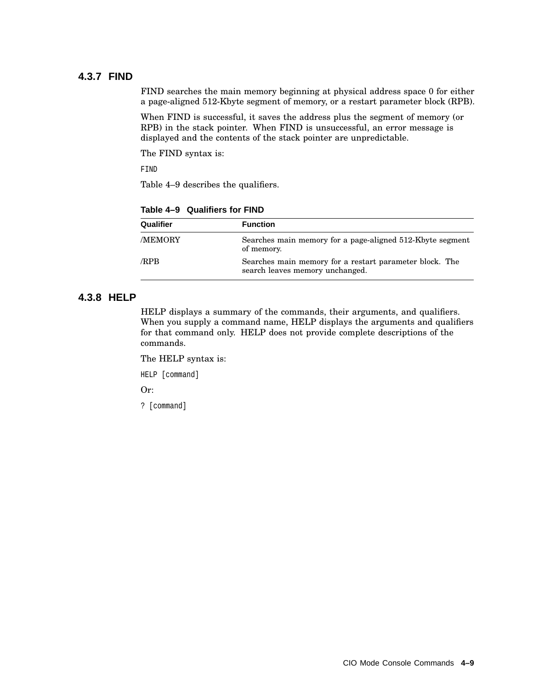#### **4.3.7 FIND**

FIND searches the main memory beginning at physical address space 0 for either a page-aligned 512-Kbyte segment of memory, or a restart parameter block (RPB).

When FIND is successful, it saves the address plus the segment of memory (or RPB) in the stack pointer. When FIND is unsuccessful, an error message is displayed and the contents of the stack pointer are unpredictable.

The FIND syntax is:

FIND

Table 4–9 describes the qualifiers.

| Qualifier     | <b>Function</b>                                                                            |
|---------------|--------------------------------------------------------------------------------------------|
| <b>MEMORY</b> | Searches main memory for a page-aligned 512-Kbyte segment<br>of memory.                    |
| /RPB          | Searches main memory for a restart parameter block. The<br>search leaves memory unchanged. |

**Table 4–9 Qualifiers for FIND**

### **4.3.8 HELP**

HELP displays a summary of the commands, their arguments, and qualifiers. When you supply a command name, HELP displays the arguments and qualifiers for that command only. HELP does not provide complete descriptions of the commands.

The HELP syntax is:

HELP [command]

Or:

? [command]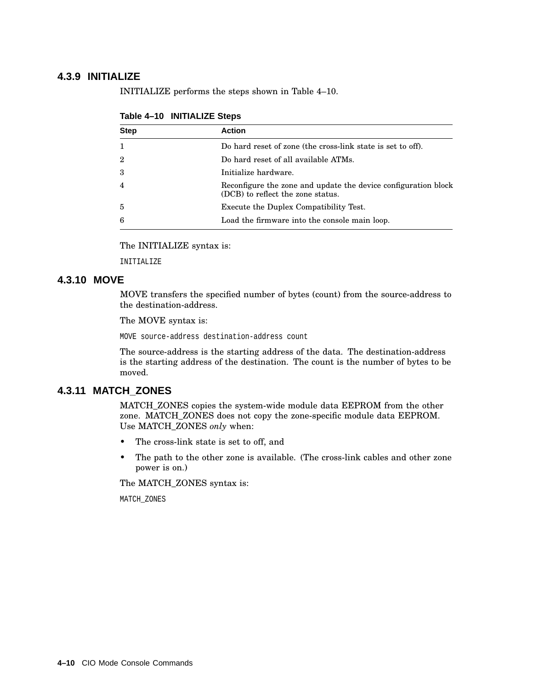### **4.3.9 INITIALIZE**

INITIALIZE performs the steps shown in Table 4–10.

| <b>Step</b>    | <b>Action</b>                                                                                       |
|----------------|-----------------------------------------------------------------------------------------------------|
|                |                                                                                                     |
| $\mathbf{1}$   | Do hard reset of zone (the cross-link state is set to off).                                         |
| $\overline{2}$ | Do hard reset of all available ATMs.                                                                |
| 3              | Initialize hardware.                                                                                |
| $\overline{4}$ | Reconfigure the zone and update the device configuration block<br>(DCB) to reflect the zone status. |
| 5              | Execute the Duplex Compatibility Test.                                                              |
| 6              | Load the firmware into the console main loop.                                                       |

**Table 4–10 INITIALIZE Steps**

The INITIALIZE syntax is:

INITIALIZE

## **4.3.10 MOVE**

MOVE transfers the specified number of bytes (count) from the source-address to the destination-address.

The MOVE syntax is:

MOVE source-address destination-address count

The source-address is the starting address of the data. The destination-address is the starting address of the destination. The count is the number of bytes to be moved.

### **4.3.11 MATCH\_ZONES**

MATCH\_ZONES copies the system-wide module data EEPROM from the other zone. MATCH\_ZONES does not copy the zone-specific module data EEPROM. Use MATCH\_ZONES *only* when:

- The cross-link state is set to off, and
- The path to the other zone is available. (The cross-link cables and other zone power is on.)

The MATCH\_ZONES syntax is:

MATCH\_ZONES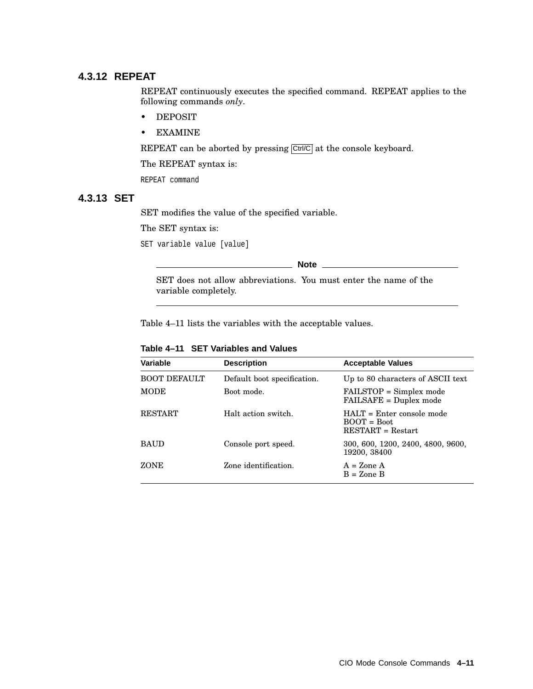### **4.3.12 REPEAT**

REPEAT continuously executes the specified command. REPEAT applies to the following commands *only*.

- DEPOSIT
- EXAMINE

REPEAT can be aborted by pressing Ctrl/C at the console keyboard.

The REPEAT syntax is:

REPEAT command

#### **4.3.13 SET**

SET modifies the value of the specified variable.

The SET syntax is:

SET variable value [value]

**Note** \_\_\_\_\_\_\_\_\_\_\_\_\_\_\_\_\_

SET does not allow abbreviations. You must enter the name of the variable completely.

Table 4–11 lists the variables with the acceptable values.

| Variable            | <b>Description</b>          | <b>Acceptable Values</b>                                            |
|---------------------|-----------------------------|---------------------------------------------------------------------|
| <b>BOOT DEFAULT</b> | Default boot specification. | Up to 80 characters of ASCII text                                   |
| <b>MODE</b>         | Boot mode.                  | FAILSTOP = Simplex mode<br>FAILSAFE = Duplex mode                   |
| <b>RESTART</b>      | Halt action switch.         | $HATT =$ Enter console mode<br>$BOOT = Root$<br>$RESTART = Restart$ |
| <b>BAUD</b>         | Console port speed.         | 300, 600, 1200, 2400, 4800, 9600,<br>19200, 38400                   |
| <b>ZONE</b>         | Zone identification.        | $A = \text{Zone } A$<br>$B = Z$ one $B$                             |

**Table 4–11 SET Variables and Values**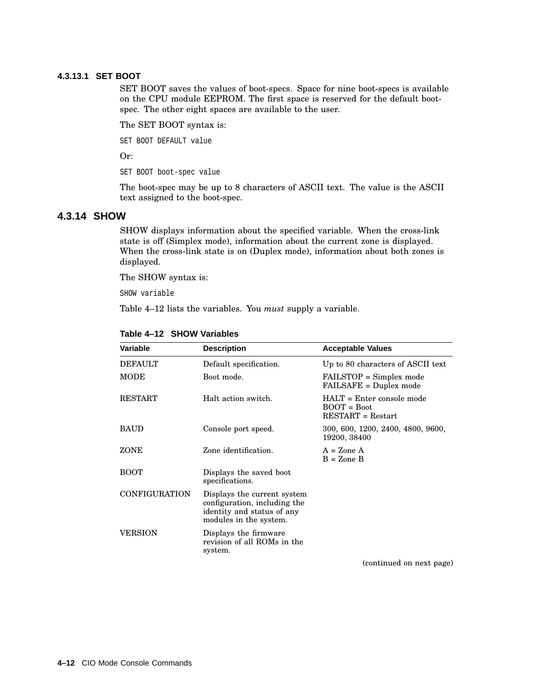#### **4.3.13.1 SET BOOT**

SET BOOT saves the values of boot-specs. Space for nine boot-specs is available on the CPU module EEPROM. The first space is reserved for the default bootspec. The other eight spaces are available to the user.

The SET BOOT syntax is:

SET BOOT DEFAULT value

Or:

SET BOOT boot-spec value

The boot-spec may be up to 8 characters of ASCII text. The value is the ASCII text assigned to the boot-spec.

#### **4.3.14 SHOW**

SHOW displays information about the specified variable. When the cross-link state is off (Simplex mode), information about the current zone is displayed. When the cross-link state is on (Duplex mode), information about both zones is displayed.

The SHOW syntax is:

SHOW variable

Table 4–12 lists the variables. You *must* supply a variable.

| Variable      | <b>Description</b>                                                                                                  | <b>Acceptable Values</b>                                            |
|---------------|---------------------------------------------------------------------------------------------------------------------|---------------------------------------------------------------------|
| DEFAULT       | Default specification.                                                                                              | Up to 80 characters of ASCII text                                   |
| $\rm{MODE}$   | Boot mode.                                                                                                          | FAILSTOP = Simplex mode<br>FAILSAFE = Duplex mode                   |
| RESTART       | Halt action switch.                                                                                                 | $HALT = Enter console mode$<br>$BOOT = Boot$<br>$RESTART = Restart$ |
| BAUD          | Console port speed.                                                                                                 | 300, 600, 1200, 2400, 4800, 9600,<br>19200, 38400                   |
| ZONE          | Zone identification.                                                                                                | $A = \text{Zone } A$<br>$B =$ Zone B                                |
| воот          | Displays the saved boot<br>specifications.                                                                          |                                                                     |
| CONFIGURATION | Displays the current system<br>configuration, including the<br>identity and status of any<br>modules in the system. |                                                                     |
| VERSION       | Displays the firmware<br>revision of all ROMs in the<br>system.                                                     |                                                                     |
|               |                                                                                                                     | (continued on next page)                                            |

#### **Table 4–12 SHOW Variables**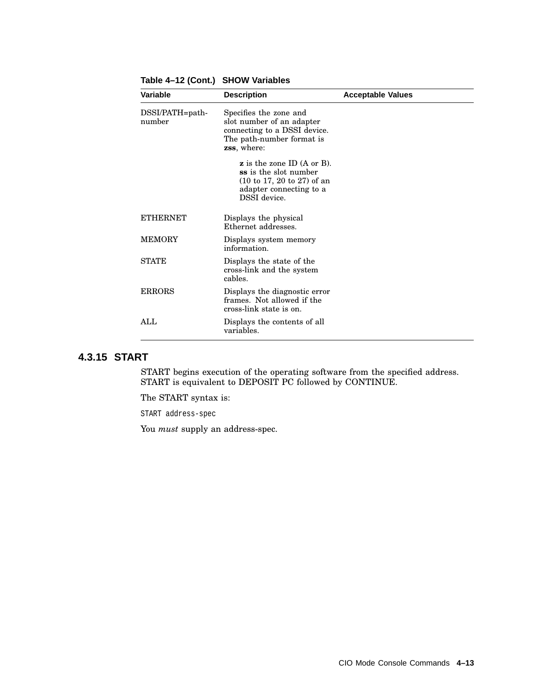| Variable                  | <b>Description</b>                                                                                                                                                             | <b>Acceptable Values</b> |
|---------------------------|--------------------------------------------------------------------------------------------------------------------------------------------------------------------------------|--------------------------|
| DSSI/PATH=path-<br>number | Specifies the zone and<br>slot number of an adapter<br>connecting to a DSSI device.<br>The path-number format is<br><b>zss</b> , where:                                        |                          |
|                           | $\boldsymbol{z}$ is the zone ID (A or B).<br>ss is the slot number<br>$(10 \text{ to } 17, 20 \text{ to } 27) \text{ of an}$<br>adapter connecting to a<br><b>DSSI</b> device. |                          |
| <b>ETHERNET</b>           | Displays the physical<br>Ethernet addresses.                                                                                                                                   |                          |
| <b>MEMORY</b>             | Displays system memory<br>information.                                                                                                                                         |                          |
| <b>STATE</b>              | Displays the state of the<br>cross-link and the system<br>cables.                                                                                                              |                          |
| <b>ERRORS</b>             | Displays the diagnostic error<br>frames. Not allowed if the<br>cross-link state is on.                                                                                         |                          |
| ALL                       | Displays the contents of all<br>variables.                                                                                                                                     |                          |

**Table 4–12 (Cont.) SHOW Variables**

#### **4.3.15 START**

START begins execution of the operating software from the specified address. START is equivalent to DEPOSIT PC followed by CONTINUE.

The START syntax is:

START address-spec

You *must* supply an address-spec.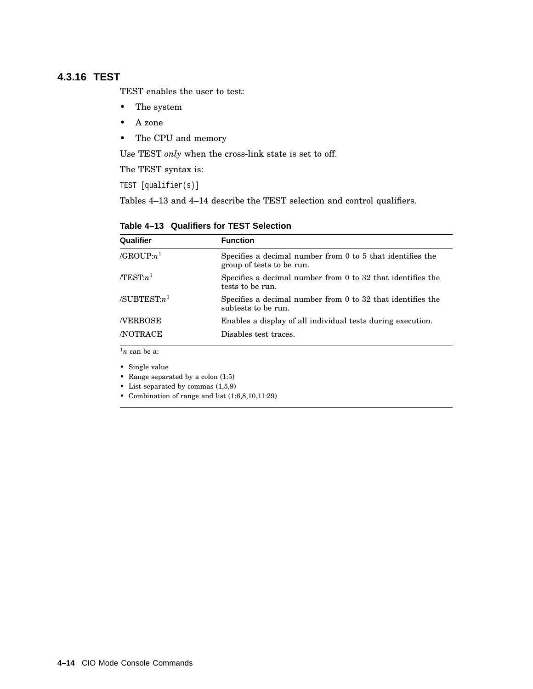## **4.3.16 TEST**

TEST enables the user to test:

- The system
- A zone
- The CPU and memory

Use TEST *only* when the cross-link state is set to off.

The TEST syntax is:

TEST [qualifier(s)]

Tables 4–13 and 4–14 describe the TEST selection and control qualifiers.

**Table 4–13 Qualifiers for TEST Selection**

| Qualifier               | <b>Function</b>                                                                         |
|-------------------------|-----------------------------------------------------------------------------------------|
| /GROUP: $n^1$           | Specifies a decimal number from 0 to 5 that identifies the<br>group of tests to be run. |
| $/TEST:n^1$             | Specifies a decimal number from 0 to 32 that identifies the<br>tests to be run.         |
| /SUBTEST: $n^1$         | Specifies a decimal number from 0 to 32 that identifies the<br>subtests to be run.      |
| <b>NERBOSE</b>          | Enables a display of all individual tests during execution.                             |
| <b>NOTRACE</b>          | Disables test traces.                                                                   |
| $\frac{1}{n}$ can be a: |                                                                                         |

• Single value

• Range separated by a colon (1:5)

- List separated by commas (1,5,9)
- Combination of range and list (1:6,8,10,11:29)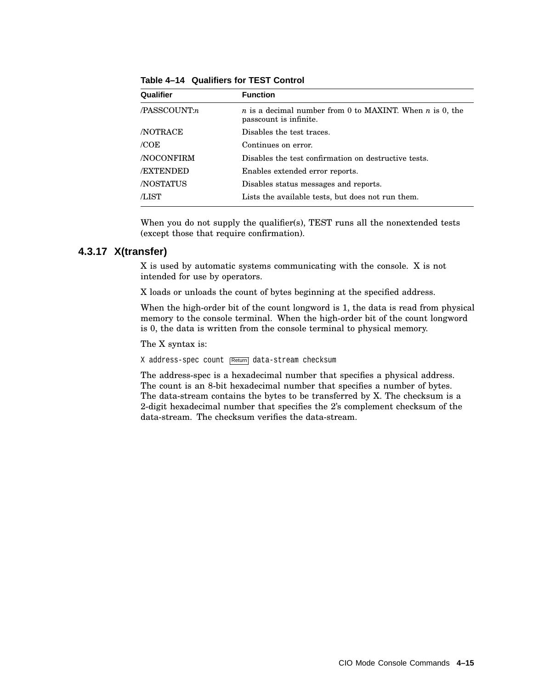| Qualifier        | <b>Function</b>                                                                                  |
|------------------|--------------------------------------------------------------------------------------------------|
| /PASSCOUNT:n     | <i>n</i> is a decimal number from 0 to MAXINT. When <i>n</i> is 0, the<br>passcount is infinite. |
| <b>NOTRACE</b>   | Disables the test traces.                                                                        |
| /COE             | Continues on error.                                                                              |
| <b>NOCONFIRM</b> | Disables the test confirmation on destructive tests.                                             |
| <b>/EXTENDED</b> | Enables extended error reports.                                                                  |
| <b>NOSTATUS</b>  | Disables status messages and reports.                                                            |
| /LIST            | Lists the available tests, but does not run them.                                                |

**Table 4–14 Qualifiers for TEST Control**

When you do not supply the qualifier(s), TEST runs all the nonextended tests (except those that require confirmation).

#### **4.3.17 X(transfer)**

X is used by automatic systems communicating with the console. X is not intended for use by operators.

X loads or unloads the count of bytes beginning at the specified address.

When the high-order bit of the count longword is 1, the data is read from physical memory to the console terminal. When the high-order bit of the count longword is 0, the data is written from the console terminal to physical memory.

The X syntax is:

X address-spec count Return data-stream checksum

The address-spec is a hexadecimal number that specifies a physical address. The count is an 8-bit hexadecimal number that specifies a number of bytes. The data-stream contains the bytes to be transferred by X. The checksum is a 2-digit hexadecimal number that specifies the 2's complement checksum of the data-stream. The checksum verifies the data-stream.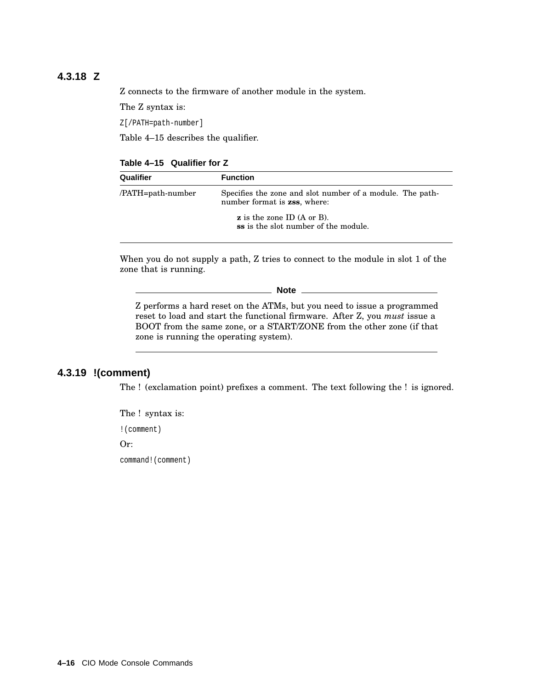## **4.3.18 Z**

Z connects to the firmware of another module in the system.

The Z syntax is:

Z[/PATH=path-number]

Table 4–15 describes the qualifier.

#### **Table 4–15 Qualifier for Z**

| Qualifier         | <b>Function</b>                                                                           |  |
|-------------------|-------------------------------------------------------------------------------------------|--|
| /PATH=path-number | Specifies the zone and slot number of a module. The path-<br>number format is zss, where: |  |
|                   | $\boldsymbol{z}$ is the zone ID (A or B).<br>ss is the slot number of the module.         |  |

When you do not supply a path, Z tries to connect to the module in slot 1 of the zone that is running.

**Note**

Z performs a hard reset on the ATMs, but you need to issue a programmed reset to load and start the functional firmware. After Z, you *must* issue a BOOT from the same zone, or a START/ZONE from the other zone (if that zone is running the operating system).

### **4.3.19 !(comment)**

The ! (exclamation point) prefixes a comment. The text following the ! is ignored.

The ! syntax is:

!(comment)

Or:

command!(comment)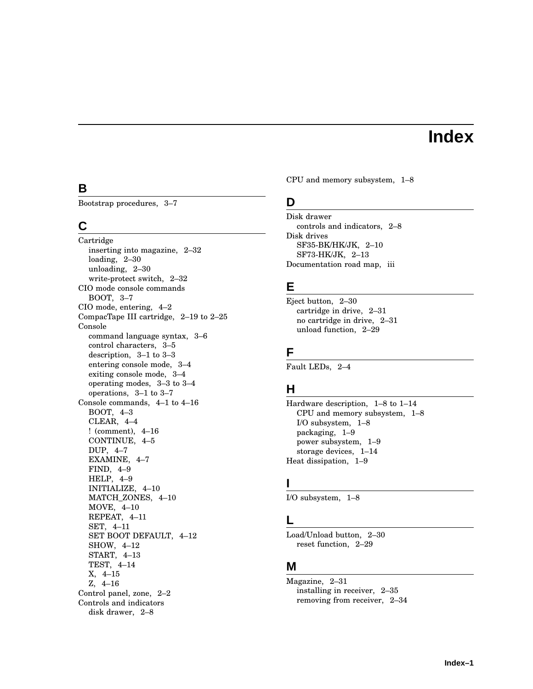# **Index**

## **B**

Bootstrap procedures, 3–7

## **C**

Cartridge inserting into magazine, 2–32 loading, 2–30 unloading, 2–30 write-protect switch, 2–32 CIO mode console commands BOOT, 3–7 CIO mode, entering, 4–2 CompacTape III cartridge, 2–19 to 2–25 Console command language syntax, 3–6 control characters, 3–5 description, 3–1 to 3–3 entering console mode, 3–4 exiting console mode, 3–4 operating modes, 3–3 to 3–4 operations, 3–1 to 3–7 Console commands, 4–1 to 4–16 BOOT, 4–3 CLEAR, 4–4 ! (comment), 4–16 CONTINUE, 4–5 DUP, 4–7 EXAMINE, 4–7 FIND, 4–9 HELP, 4–9 INITIALIZE, 4–10 MATCH\_ZONES, 4–10 MOVE, 4–10 REPEAT, 4–11 SET, 4–11 SET BOOT DEFAULT, 4–12 SHOW, 4–12 START, 4–13 TEST, 4–14 X, 4–15 Z, 4–16 Control panel, zone, 2–2 Controls and indicators disk drawer, 2–8

CPU and memory subsystem, 1–8

## **D**

Disk drawer controls and indicators, 2–8 Disk drives SF35-BK/HK/JK, 2–10 SF73-HK/JK, 2–13 Documentation road map, iii

## **E**

Eject button, 2–30 cartridge in drive, 2–31 no cartridge in drive, 2–31 unload function, 2–29

## **F**

Fault LEDs, 2–4

## **H**

Hardware description, 1–8 to 1–14 CPU and memory subsystem, 1–8 I/O subsystem, 1–8 packaging, 1–9 power subsystem, 1–9 storage devices, 1–14 Heat dissipation, 1–9

## **I**

I/O subsystem, 1–8

#### **L**

Load/Unload button, 2–30 reset function, 2–29

## **M**

Magazine, 2–31 installing in receiver, 2–35 removing from receiver, 2–34